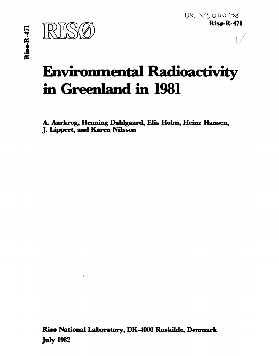

**v** 

# **Environmental Radioactivity in Greenland in 1981**

**A. Aarkrog, Henning Dahlgaard, Elis Holm, Heinz Hansen, J. Lippert, and Karen Nilsson** 

**Ris# National Laboratory, DK-4000 Roskilde, Denmark July 1962**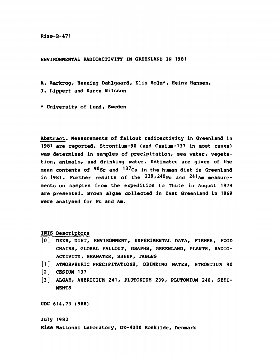**Risø-R-471** 

**ENVIRONMENTAL RADIOACTIVITY IN GREENLAND IN 1981** 

**A. Aarkrog, Henning Dahlgaard, Elis Holm\*, Heinz Hansen,** 

**J. Lippert and Karen Nilsson** 

**\* University of Lund, Sweden** 

**Abstract. Measurements of fallout radioactivity in Greenland in 1981 are reported. Strontium-90 (and Cesium-137 in most cases) was determined in samples of precipitation, sea water, vegetation, animals, and drinking water. Estimates are given of the mean contents of ^<sup>u</sup>Sr and <sup>1</sup>^ <sup>7</sup>Cs in the human diet in Greenland**  in 1981. Purther results of the <sup>239,240</sup>Pu and <sup>241</sup>Am measure**ments on samples from the expedition to Thule in August 1979 are presented. Brown algae collected in East Greenland in 1969 were analysed for Pu and Am.** 

**INIS Descriptors** 

- **[0] DEER, DIET, ENVIRONMENT, EXPERIMENTAL DATA, FISHES, POOD CHAINS, GLOBAL FALLOUT, GRAPHS, GREENLAND, PLANTS, RADIO-ACTIVITY, SEAWATER, SHEEP, TABLES**
- **[1] ATMOSPHERIC PRECIPITATIONS, DRINKING WATER, STRONTIUM 90**
- **[2] CESIUM 137**
- **[3] ALGAE, AMERICIUM 241, PLUTONIUM 239, PLUTONIUM 240, SEDI-MENTS**

**UDC 614.73 (988)** 

**July 1982** 

**Risø National Laboratory, DK-4000 Roskilde, Denmark**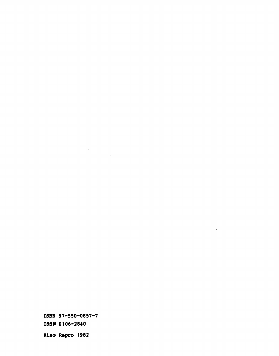**ISBN 87-550-0857-7 ISSN 0106-2840 Risø Repro 1982** 

 $\label{eq:2.1} \frac{1}{\sqrt{2}}\int_{\mathbb{R}^3}\frac{1}{\sqrt{2}}\left(\frac{1}{\sqrt{2}}\right)^2\frac{1}{\sqrt{2}}\left(\frac{1}{\sqrt{2}}\right)^2\frac{1}{\sqrt{2}}\left(\frac{1}{\sqrt{2}}\right)^2.$ 

 $\mathcal{L}^{\text{max}}_{\text{max}}$  and  $\mathcal{L}^{\text{max}}_{\text{max}}$ 

 $\label{eq:2.1} \frac{1}{\sqrt{2\pi}}\int_{\mathbb{R}^3}\frac{1}{\sqrt{2\pi}}\left(\frac{1}{\sqrt{2\pi}}\right)^2\frac{1}{\sqrt{2\pi}}\int_{\mathbb{R}^3}\frac{1}{\sqrt{2\pi}}\left(\frac{1}{\sqrt{2\pi}}\right)^2\frac{1}{\sqrt{2\pi}}\frac{1}{\sqrt{2\pi}}\int_{\mathbb{R}^3}\frac{1}{\sqrt{2\pi}}\frac{1}{\sqrt{2\pi}}\frac{1}{\sqrt{2\pi}}\frac{1}{\sqrt{2\pi}}\frac{1}{\sqrt{2\pi}}\frac{1}{\sqrt{2\$ 

 $\sim$ 

 $\mathcal{L}^{\text{max}}_{\text{max}}$  , where  $\mathcal{L}^{\text{max}}_{\text{max}}$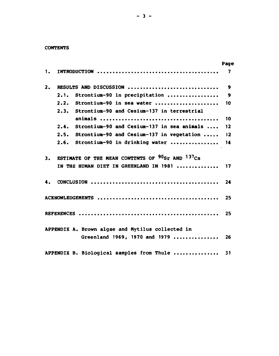## **CONTENTS**

|    |                                                                  | Page             |
|----|------------------------------------------------------------------|------------------|
| 1. |                                                                  | 7                |
| 2. | RESULTS AND DISCUSSION                                           | $\boldsymbol{9}$ |
|    | Strontium-90 in precipitation<br>2.1.                            | 9                |
|    | 2.2.<br>Strontium-90 in sea water                                | 10               |
|    | Strontium-90 and Cesium-137 in terrestrial<br>2.3.               |                  |
|    |                                                                  | 10               |
|    | 2.4.<br>Strontium-90 and Cesium-137 in sea animals               | 12               |
|    | Strontium-90 and Cesium-137 in vegetation<br>2.5.                | 12               |
|    | Strontium-90 in drinking water<br>2.6.                           | 14               |
| 3. | ESTIMATE OF THE MEAN CONTENTS OF $90$ <sub>Sr</sub> AND $137$ Cs |                  |
|    | IN THE HUMAN DIET IN GREENLAND IN 1981                           | 17               |
| 4. |                                                                  | 24               |
|    |                                                                  | 25               |
|    |                                                                  | 25               |
|    | APPENDIX A. Brown algae and Mytilus collected in                 |                  |
|    | Greenland 1969, 1970 and 1979                                    | 26               |
|    | APPENDIX B. Biological samples from Thule                        | 31               |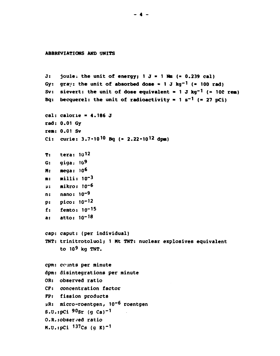#### ABBREVIATIONS AND UNITS

```
joule; the unit of energy; 1 J = 1 Na (= 0.239 cal)
J:Gy: gray: the unit of absorbed dose = 1 J kg<sup>-1</sup> (= 100 rad)
     sievert: the unit of dose equivalent = 1 J kg<sup>-1</sup> (= 100 rem)
Sv:Bq: becquerel: the unit of radioactivity = 1 s<sup>-1</sup> (= 27 pCi)
cal: calorie = 4.186 J
rad: 0.01 Gy
rem: 0.01 Sv
Ci: curie: 3.7 \cdot 10^{10} Bq (= 2.22 \cdot 10^{12} dpm)
     tera: 1012
T:qiqa: 10<sup>9</sup>G:mega: 10<sup>6</sup>M:
     milli: 10^{-3}m<sub>z</sub>mikro: 10-6
\mu :
     nano: 10<sup>-9</sup>
n:pico: 10^{-12}p:femto: 10^{-15}f:atto: 10^{-18}a:cap: caput: (per individual)
TNT: trinitrotoluol; 1 Mt TNT: nuclear explosives equivalent
     to 10^9 kg TNT.
cpm: counts per minute
dpm: disintegrations per minute
OR: observed ratio
CF: concentration factor
FP: fission products
µR: micro-roentgen, 10<sup>-6</sup> roentgen
S.U.:pCi 90sr (q Ca)<sup>-1</sup>
0.8.: obser ved ratio
M.U.:pCi 137Cs (g K)<sup>-1</sup>
```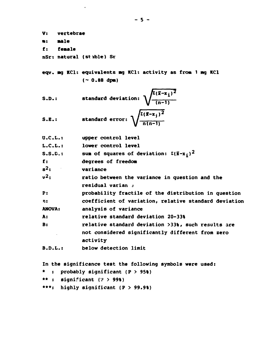**V: a: f: vertebrae M i e female nSr: natural (stible) Sr**  eqv. mg KCl: equivalents mg KCl: activity as from 1 mg KCl **(~ 0.88 dpa) x-x\*)<sup>2</sup> S.D.: standard deviation: S.E.: standard error**   $V$  (n-1)  $V \sqrt{n(n-1)}$ **U.C.L.: upper control level L.C.L.: lower control level**  S.S.C.: sum of squares of deviation:  $\sum (\bar{x}-x_i)^2$ **f: degrees of freedom**   $s^2$ : **<sup>2</sup>: variance**   $v^2$ : **<sup>2</sup>: ratio between the variance in question and the residual varian** *t*  **P: probability fractile of the distribution in question n: coefficient of variation, relative standard deviation ANOVA: analysis of variance A: relative standard deviation 20-33% B: relative standard deviation >33%, such results are not considered significantly different from zero activity B.D.L.: below detection limit In the significance test the following symbols were used: \* : probably significant (P > 95%) \*\* : significant** *(v* **> 99%) \*\*\*: highly significant (P > 99.9%)**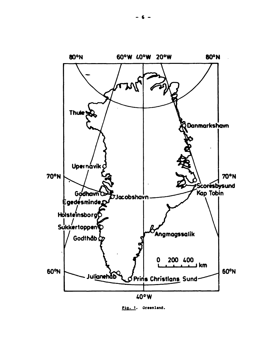

**Pig. 1. Greenland.**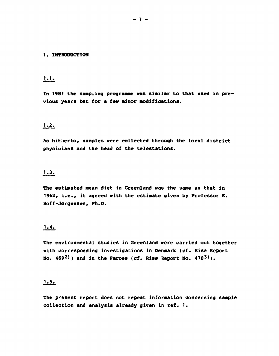#### **1. INTRODUCTION**

# **1.1.**

In 1981 the samping programme was similar to that used in pre**vious years but for a few minor modifications.** 

# **1.2.**

**As hitherto, samples were collected through the local district physicians and the head of the telestations.** 

## **1.3.**

**The estimated mean diet in Greenland was the same as that in 1962, i.e., it agreed with the estimate given by Professor B. Hoff-Jørgensen, Ph.D.** 

# **1.4.**

**The environmental studies in Greenland were carried out together with corresponding investigations in Denmark (cf. Risø Report No. 469<sup>2</sup>> ) and in the Faroes (cf. Risø Report No. 470<sup>3</sup>>).** 

# **1.5.**

**The present report does not repeat information concerning sample collection and analysis already given in ref. 1.**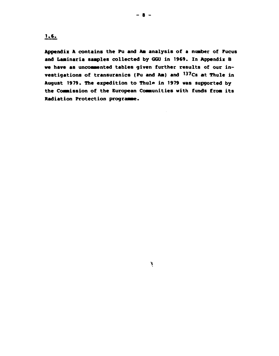**1.6.** 

**Appendix A contains the Pu and Aa analysis of a number of Fucus and Laainaria saaples collected by GGU in 1969. In Appendix B**  we have as uncommented tables given further results of our in**vestigations of transuranics (Pu and An) and <sup>137</sup>Cs at Thule in**  August 1979. The expedition to Thule in 1979 was supported by **the Coaaission of the European Coaaunities with funds froa its Radiation Protection prograaae.** 

**%**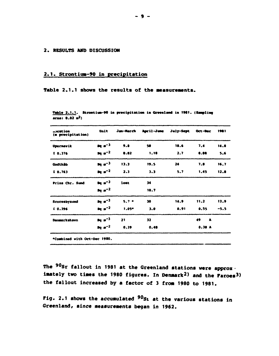## **2. RESULTS AND DISCUSSION**

# 2.1. Strontium-90 in precipitation

## Table 2.1.1 shows the results of the measurements.

| $$ cation<br>(m precipitation) | Unit      | Jan-March | April-June | July-Sept | Oct-Dec | 1981 |
|--------------------------------|-----------|-----------|------------|-----------|---------|------|
| <b>Upernavik</b>               | $a^{-3}$  | 9.8       | 50         | 18.6      | 7.4     | 14.8 |
| $I$ 0.376                      | $pq = -2$ | 0.82      | 1.18       | 2.7       | 0.88    | 5.6  |
| Godthãb                        | $pq = -3$ | 13.3      | 19.5       | 24        | 7.8     | 16.7 |
| $I_0.763$                      | $pq = -2$ | 2.3       | 3.3        | 5.7       | 1.45    | 12.8 |
| Prins Chr. Sund                | $pq = -3$ | lost      | 34         |           |         |      |
|                                | $pq = -2$ |           | 10.7       |           |         |      |
| Scoresbysund                   | $Bq = -3$ | $5.7 -$   | 30         | 14.9      | 11.2    | 13.9 |
| $I_0.396$                      | $pq = -2$ | $1.05 -$  | 3.0        | 0.91      | 0.55    | -5.5 |
| Danmarkshavn                   | $pq = -3$ | 21        | 32         |           | 49<br>A |      |
|                                | $pq = -2$ | 0.39      | 0.48       |           | 0.30A   |      |

Table 2.1.1. Strontium-90 in precipitation in Greenland in 1981. (Sampling  $area: 0.02<sup>2</sup>$ 

**•Combined with Oct--Dec 1900 .** 

**The <sup>90</sup>Sr fallout in 1981 at the Greenland stations were approx imately two times the 1980 figures. In Denmark<sup>2</sup>) and the Faroes3) the fallout increased by a factor of 3 from 1980 to 1981.** 

**Fig. 2.1 shows the accumulated <sup>90</sup>Si at the various stations in Greenland, since measurements began in 1962.**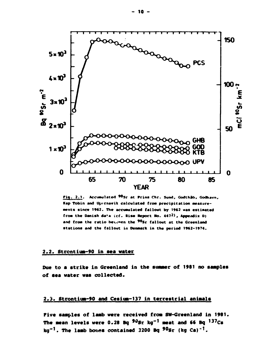

Fig. 2.1. Accumulated 90Sr at Prins Chr. Sund, Godthåb, Godhavn, Kap Tobin and Upernavik calculated from precipitation measurements since 1962. The accumulated fallout by 1962 was estimated from the Danish data (cf. Rise Report No. 4472), Appendix D) and from the ratio between the 90sr fallout at the Greenland stations and the fallout in Denmark in the period 1962-1974.

#### 2.2. Strentium-90 in sea water

Due to a strike in Greenland in the summer of 1981 no samples of sea water was collected.

# 2.3. Strontium-90 and Cesium-137 in terrestrial animals

Pive samples of lamb were received from SW-Greenland in 1981. The mean levels were  $0.28$  Bq  $90$ Sr kg<sup>-1</sup> meat and 66 Bq  $137$ Cs  $kg^{-1}$ . The lamb bones contained 3200 Bq  $90sr$  (kg Ca)<sup>-1</sup>.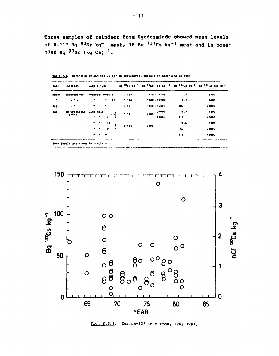Three samples of reindeer from Egedesminde showed mean levels of 0.117 Bq  $90$ Sr kg<sup>-1</sup> meat, 38 Bq  $137$ Cs kg<sup>-1</sup> meat and in bone: 1790 Bq  $90_{\text{sr}}$  (kg Ca)<sup>-1</sup>.

| <b>Date</b> | Location                           | Sample type                                                                                                                   |       | Bq 90Sr kg <sup>-1</sup> Bq 90Sr (kg Ca) <sup>-1</sup> Bq <sup>137</sup> Cs kg <sup>-1</sup> Bq <sup>137</sup> Cs (kg K) <sup>-1</sup> |      |       |
|-------------|------------------------------------|-------------------------------------------------------------------------------------------------------------------------------|-------|----------------------------------------------------------------------------------------------------------------------------------------|------|-------|
| March       | Eqedesminde                        | Reindeer meat I                                                                                                               | 0.055 | 610 (1910)                                                                                                                             | 7.2  | 2100  |
| ٠           | $\omega$ . It is a set of $\omega$ | $\bullet$<br>$\ddot{\bullet}$ $\ddot{\bullet}$                                                                                | 0.194 | 1700 (1820)                                                                                                                            | 6.1  | 1900  |
| <b>Sept</b> | $ -$                               | $\blacksquare$<br>٠                                                                                                           | 0.101 | 1340 (1640)                                                                                                                            | 102  | 28000 |
| Aug         | SW-Greenland                       | Lamb meat I                                                                                                                   |       | (3700)<br>4500                                                                                                                         | 19.7 | 9200  |
|             | (KGH)                              | $\frac{1}{2}$ $\frac{-w}{1}$ + v                                                                                              | 0.33  | (2800)                                                                                                                                 | 117  | 45000 |
|             |                                    |                                                                                                                               |       |                                                                                                                                        | 12.6 | 5700  |
|             |                                    | $\begin{array}{cccccc}\n\bullet & \bullet & \text{III} & \uparrow \\ \bullet & \bullet & \text{IV} & \downarrow\n\end{array}$ | 0.194 | 2300                                                                                                                                   | 62   | 43000 |
|             |                                    | $\begin{array}{ccc} \bullet & \bullet & \bullet \end{array}$<br><b>v</b>                                                      |       |                                                                                                                                        | 118  | 45000 |

Table 2.3. Strontium-90 and Cesium-137 in terrestrial animals in Greenland in 1981



Fig. 2.3.1. Cesium-137 in mutton, 1962-1981.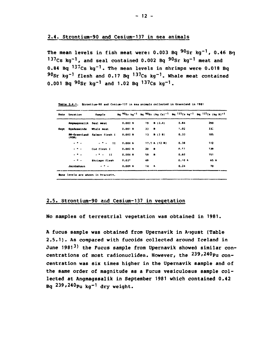The mean levels in fish meat were:  $0.003$  Bq  $90$ Sr kq<sup>-1</sup>, 0.46 Bq 137Cs kg<sup>-1</sup>, and seal contained 0.002 Bg 90Sr kg<sup>-1</sup> meat and 0.84 Bq  $137$ Cs kq<sup>-1</sup>. The mean levels in shrimps were 0.018 Bq  $90$ Sr kg<sup>-1</sup> flesh and 0.17 Bg <sup>137</sup>Cs kg<sup>-1</sup>. Whale meat contained 0.001 Bq  $90$ Sr kg<sup>-1</sup> and 1.02 Bq  $137$ Cs kg<sup>-1</sup>.

|      | Date Location          | Sample                      |        |        |                |       | Bg $90$ Sr kg <sup>-1</sup> Bg $90$ Sr (kg Ca) <sup>-1</sup> Bg <sup>137</sup> Cs kg <sup>-1</sup> Bg <sup>137</sup> Cs (kg K) <sup>-1</sup> |
|------|------------------------|-----------------------------|--------|--------|----------------|-------|----------------------------------------------------------------------------------------------------------------------------------------------|
|      | Angmagssalik Seal meat |                             | 0.002B | $19 -$ | B(2.4)         | 0.84  | 290                                                                                                                                          |
| Sept | Egedesminde Whale meat |                             | 0.001B | 33     | $\bullet$      | 1.02  | 330                                                                                                                                          |
|      | (KGB)                  | SW-Greenland Salmon flesh I | 0.002B |        | $13 \t B (38)$ | 0.33  | 105                                                                                                                                          |
|      | $ -$                   | $\mathbf{H}$                | 0.004A |        | 17.5 A (12 B)  | 0.30  | 112                                                                                                                                          |
|      | $ -$                   | Cod flesh I                 | 0.002B | 20 B   |                | 0.51  | 139                                                                                                                                          |
|      | - - -                  | $ -$<br>$\mathbf{11}$       | 0.004B | 59.    | - 8            | 0.60  | 151                                                                                                                                          |
|      | $\frac{1}{2}$          | Shrimps flesh               | 0.027  | 49     |                | 0.10A | 65 A                                                                                                                                         |
|      | Jacobshavn             | - - -                       | 0.009A | 14 A   |                | 0.24  | 70                                                                                                                                           |
|      |                        |                             |        |        |                |       |                                                                                                                                              |

Table 2.4.1. Strontium-90 and Cesium-137 in sea animals collected in Greenland in 1981

Bone levels are shown in brackets.

# 2.5. Strontium-90 and Cesium-137 in vegetation

No samples of terrestrial vegetation was obtained in 1981.

A fucus sample was obtained from Upernavik in August (Table 2.5.1). As compared with fucoids collected around Iceland in June 1981<sup>3</sup>) the Fucus sample from Upernavik showed similar concentrations of most radionuclides. However, the 239,240Pu concentration was six times higher in the Upernavik sample and of the same order of magnitude as a Fucus vesiculosus sample collected at Angmagssalik in September 1981 which contained 0.42 Bq  $239,240$ Pu kq<sup>-1</sup> dry weight.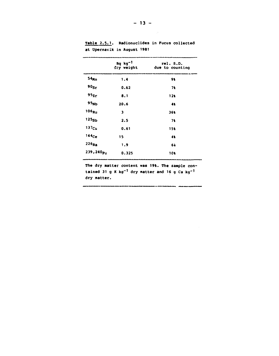|                     | $Bq$ kg <sup>-1</sup><br>dry weight | rel. S.D.<br>due to counting |
|---------------------|-------------------------------------|------------------------------|
| 54 <sub>Mn</sub>    | 1.4                                 | 91                           |
| 90 <sub>ST</sub>    | 0.62                                | 71                           |
| 95z <sub>r</sub>    | 8.1                                 | 12k                          |
| 95 <sub>Nb</sub>    | 20.6                                | 41                           |
| $106_{Ru}$          | 3                                   | 361                          |
| 125 <sub>Sb</sub>   | 2.5                                 | 71                           |
| 137 <sub>Cs</sub>   | 0.61                                | 154                          |
| 144 <sub>Ce</sub>   | 15                                  | 41                           |
| $226_{\text{Ra}}$   | 1.9                                 | 6è                           |
| $239,240_{\rm{Pu}}$ | 0.325                               | 101                          |

Table 2.5.1. Radionuclides in Fucus collected at Upernavik in August 1981

The dry matter content was 19%. The sample contained 31 g K kg<sup>-1</sup> dry matter and 16 g Ca kg<sup>-1</sup> dry matter.

.<br>1916 – Johanne Hongold III (1921–1921), američki slovenski politički slovenski

 $\overline{\phantom{a}}$ 

 $\sim 10^6$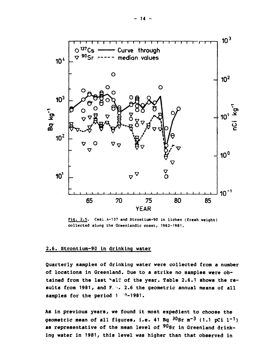

Fig. 2.5. Cesi. n-137 and Strontium-90 in lichen (fresh weight) collected along the Greenlandic coast, 1962-1981.

## 2.6. Strontium-90 in drinking water

Quarterly samples of drinking water were collected from a number of locations in Greenland. Due to a strike no samples were obtained from the last half of the year. Table 2.6.1 shows the results from 1981, and P. 4. 2.6 the geometric annual means of all samples for the period 1 2-1981.

As in previous years, we found it most expedient to choose the geometric mean of all figures, i.e. 41 Bq  $30$ Sr m<sup>-3</sup> (1.1 pCi 1<sup>-1</sup>) as representative of the mean level of 90Sr in Greenland drinking water in 1981, this level was higher than that observed in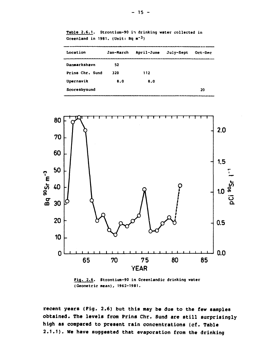| Location        | Jan-March | April-June | July-Sept | Oct-Dec |
|-----------------|-----------|------------|-----------|---------|
| Danmarkshavn    | 52        |            |           |         |
| Prins Chr. Sund | 320       | 112        |           |         |
| Upernavik       | 8.0       | 8.0        |           |         |
| Scoresbysund    |           |            |           | 20      |

Table 2.6.1. Strontium-90 in drinking water collected in **Greenland in 1981. (Unit: Bq m"<sup>3</sup>)** 



**Fig. 2.6. Strontium-90 in Greenlandic drinking water (Geometric mean), 1962-1981.** 

**recent years (Pig. 2.6) but this may be due to the few samples obtained. The levels from Prins Chr. Sund are still surprisingly high as compared to present rain concentrations (cf. Table 2.1.1). We have suggested that evaporation from the drinking**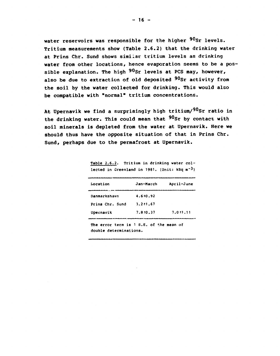**water reservoirs was responsible for the higher <sup>90</sup>Sr levels. Tritium measurements show (Table 2.6.2) that the drinking water at Prins Chr. Sund shows similar tritium levels as drinking water from other locations, hence evaporation seems to be a possible explanation. The high <sup>90</sup>Sr levels at PCS may, however,**  also be due to extraction of old deposited <sup>90</sup>Sr activity from **the soil by the water collected for drinking. This would also be compatible with "normal" tritium concentrations.** 

**At Upernavik we find a surprisingly high tritium/<sup>90</sup>Sr ratio in the drinking water. This could mean that <sup>90</sup>Sr by contact with soil minerals is depleted from the water at Upernavik. Here we should thus have the opposite situation of that in Prins Chr. Sund, perhaps due to the permafrost at Upernavik.** 

**Table 2.6.2. Tritium in drinking water collected in Greenland in 1981. (Unit: kBq m~<sup>3</sup> )** 

| Location        | Jan-March      | April-June |
|-----------------|----------------|------------|
| Danmarkshavn    | 4.610.92       |            |
| Prins Chr. Sund | $3.2 \pm 1.67$ |            |
| Upernavik       | $7.8 \pm 0.37$ | 7.011.11   |

**The error term is 1 S.E. of the mean of double determinations.**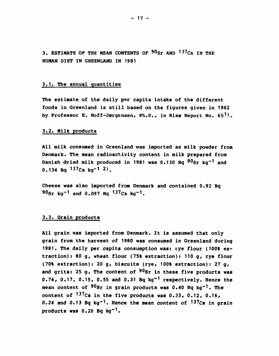**3. ESTIMATE OP THE MEAN CONTENTS OP <sup>90</sup>Sr AND <sup>137</sup>Cs IN THE HUMAN DIET IN GREENLAND IN 1981** 

#### **3.1. The annual quantities**

**The estimate of the daily per capita intake of the different foods in Greenland is still based on the figures given in 1962 by Professor E. Hoff-Jørgensen, Ph.D., in Risø Report No. 65<sup>1</sup> ).** 

#### **3.2. Milk products**

**All milk consumed in Greenland was imported as milk powder from Denmark. The mean radioactivity content in milk prepared from Danish dried milk produced in 1981 was 0.130 Bq <sup>90</sup>Sr kg'<sup>1</sup> and 0.134 Bq <sup>137</sup>Cs kg-1 2>.** 

**Cheese was also imported from Denmark and contained 0.92 Bq <sup>90</sup>Sr kg"<sup>1</sup> and 0.097 Bq <sup>137</sup>Cs kg"<sup>1</sup>.** 

#### **3.3. Grain products**

**All grain was imported from Denmark. It is assumed that only grain from the harvest of 1980 was consumed in Greenland during 1981. The daily per capita consumption was: rye flour (100% extraction): 80 g, wheat flour (75% extraction): 110 g, rye flour (70% extraction): 20 g, biscuits (rye, 100% extraction): 27 g, and grits: 25 g. The content of <sup>90</sup>Sr in these five products was 0.74, 0.17, 0.15, 0.55 and 0.31 Bq kg"<sup>1</sup> respectively. Hence the mean content of <sup>90</sup>Sr in grain products was 0.40 Bq kg'<sup>1</sup>. The content of <sup>137</sup>Cs in the five products was 0.33, 0.12, 0.16, 0.24 and 0.13 Bq kg"<sup>1</sup>. Hence the mean content of <sup>137</sup>Cs in grain products was 0.20 Bq kg-1.**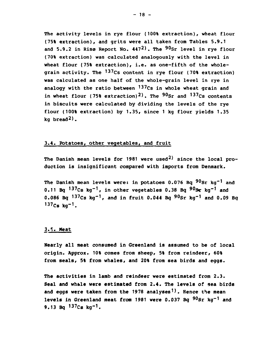The activity levels in rye flour (100% extraction), wheat flour **(75% extraction), and grits were all taken from Tables 5.9.1 and 5.9.2 in Risø Report No. 447<sup>2</sup>). The <sup>9</sup>0sr level in rye flour (70% extraction) was calculated analogously with the level in**  wheat flour (75% extraction), i.e. as one-fifth of the whole**grain activity. The <sup>137</sup>Cs content in rye flour (70% extraction) was calculated as one half of the whole-grain level in rye in analogy with the ratio between <sup>137</sup>Cs in whole wheat grain and in wheat flour (75% extraction)<sup>2</sup>). The <sup>90</sup>Sr and <sup>137</sup>Cs contents in biscuits were calculated by dividing the levels of the rye flour (100% extraction) by 1.35/ since 1 kg flour yields 1.35 kg bread<sup>2</sup>).** 

## 3.4. Potatoes, other vegetables, and fruit

**The Danish mean levels for 1981 were used<sup>2</sup>) since the local production is insignificant compared with imports from Denmark.** 

**The Danish mean levels were: in potatoes 0.076 Bq <sup>9</sup>0sr kg-1 and 0.11 Bq <sup>137</sup>Cs kg-1, in other vegetables 0.38 Bq <sup>90</sup>Sr kg"<sup>1</sup> and 0.086 Bq <sup>137</sup>Cs kg"<sup>1</sup>/ and in fruit 0.044 Bq <sup>90</sup>Sr kg"<sup>1</sup> and 0.09 Bq 137Cs kg - 1.** 

# **3.5. Meat**

**Nearly all meat consumed in Greenland is assumed to be of local**  origin. Approx. 10% comes from sheep, 5% from reindeer, 60% from seals, 5% from whales, and 20% from sea birds and eggs.

**The activities in lamb and reindeer were estimated from 2.3. Seal and whale were estimated from 2.4. The levels of sea birds and eggs were taken from the 1978 analyses<sup>1</sup>). Hence the mean levels in Greenland meat from 1981 were 0.037 Bq <sup>90</sup>Sr kg-1 and 9.13 Bq <sup>137</sup>Cs kg"<sup>1</sup>.**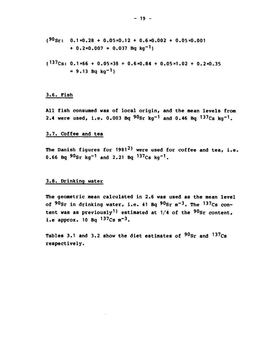- **( 9 0 S r : 0.1x0.28 + 0.05x0.12 + 0.6x0.002 + 0.05x0.001 + 0.2x0.007 = 0.037 Bq kg"<sup>1</sup> )**
- **( <sup>137</sup> C s: 0.1x66 + 0.05x38 + 0.6x0.84 + 0.05x1.02 + 0.2x0.35**   $= 9.13$  Bq kq<sup>-1</sup>)

## **3.6 . Fish**

**All fish consumed was of local origin, and the mean levels from 2.4 were used, i.e. 0.003 Bq <sup>90</sup>Sr kg"<sup>1</sup> and 0.46 Bq <sup>137</sup>Cs kg-1.** 

## **3.7. Coffee and tea**

**The Danish figures for 1981<sup>2</sup>) were used for coffee and tea, i.e. 0.66 Bq <sup>90</sup>Sr kg-1 and 2.21 Bq <sup>137</sup>Cs kg-1.** 

## **3.8. Drinking water**

**The geometric mean calculated in 2.6 was used as the mean level of <sup>90</sup>Sr in drinking water, i.e. 41 Bq <sup>90</sup>Sr m- 3 . The <sup>137</sup>Cs content was as previously<sup>1</sup>) estimated at 1/4 of the <sup>90</sup>Sr content, i.e approx. 10 Bq <sup>137</sup>Cs m~<sup>3</sup>.** 

**Tables 3.1 and 3.2 show the diet estimates of <sup>90</sup>Sr and <sup>137</sup>Cs respectively.**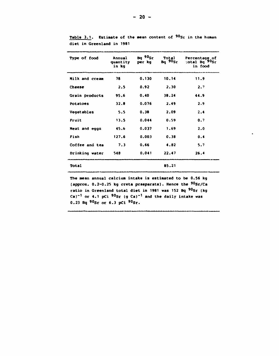| Type of food   | Annual<br>quantity<br>in kg | Ba <sup>90</sup> Sr<br>per kg | Total<br>$Bq$ 90sr | Percentage of<br>total Bq <sup>-90</sup> Sr<br>in food |
|----------------|-----------------------------|-------------------------------|--------------------|--------------------------------------------------------|
| Milk and cream | 78                          | 0.130                         | 10.14              | 11.9                                                   |
| Cheese         | 2.5                         | 0.92                          | 2.30               | 2.7                                                    |
| Grain products | 95.6                        | 0.40                          | 38.24              | 44.9                                                   |
| Potatoes       | 32.8                        | 0.076                         | 2.49               | 2.9                                                    |
| Vegetables     | 5.5                         | 0.38                          | 2.09               | 2.4                                                    |
| Fruit          | 13.5                        | 0.044                         | 0.59               | 0.7                                                    |
| Meat and eggs  | 45.6                        | 0.037                         | 1.69               | 2.0                                                    |
| Fish           | 127.6                       | 0.003                         | 0.38               | 0.4                                                    |
| Coffee and tea | 7.3                         | 0.66                          | 4.82               | 5.7                                                    |
| Drinking water | 548                         | 0.041                         | 22.47              | 26.4                                                   |
| Total          |                             |                               | 85.21              |                                                        |

Table 3.1. Estimate of the mean content of <sup>90</sup>Sr in the human **diet in Greenland in 1981** 

**The mean annual calcium intake is estimated to be 0.56 kg (approx. 0.2-0.25 kg creta praeparata). Hence the <sup>90</sup>Sr/Ca ratio in Greenland total diet in 1981 was 152 Bq <sup>90</sup>Sr (kg Ca)-1 or 4.1 pCi <sup>90</sup>Sr (g Ca)"<sup>1</sup> and the daily intake was**   $0.23$  Bq  $90$ Sr or  $6.3$  pCi  $90$ Sr.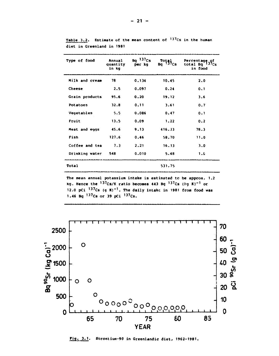| Type of food    | Annual<br>quantity<br>in kq | Bq $137$ Cs<br>per kg | $R_{\rm Bq}^{\rm tot}$ | <b>Percentage</b> of<br>total $Bq^{-137}$ Cs<br>in food |
|-----------------|-----------------------------|-----------------------|------------------------|---------------------------------------------------------|
| Milk and cream  | 78                          | 0.134                 | 10.45                  | 2.0                                                     |
| Cheese          | 2.5                         | 0.097                 | 0.24                   | 0.1                                                     |
| Grain products  | 95.6                        | 0.20                  | 19.12                  | 3.6                                                     |
| <b>Potatoes</b> | 32.8                        | 0.11                  | 3.61                   | 0.7                                                     |
| Vegetables      | 5.5                         | 0.086                 | 0.47                   | 0.1                                                     |
| Fruit           | 13.5                        | 0.09                  | 1.22                   | 0.2                                                     |
| Meat and eggs   | 45.6                        | 9.13                  | 416.33                 | 78.3                                                    |
| Fish            | 127.6                       | 0.46                  | 58.70                  | 11.0                                                    |
| Coffee and tea  | 7.3                         | 2.21                  | 16.13                  | 3.0                                                     |
| Drinking water  | 548                         | 0.010                 | 5.48                   | 1.6                                                     |
| Total           |                             |                       | 531.75                 |                                                         |

Table 3.2. Estimate of the mean content of <sup>137</sup>Cs in the human diet in Greenland in 1981

The mean annual potassium intake is estimated to be approx. 1.2 kg. Hence the <sup>137</sup>Cs/K ratio becomes 443 Bq <sup>137</sup>Cs (Fq K)<sup>-1</sup> or 12.0 pCi <sup>137</sup>Cs (g K)<sup>-1</sup>. The daily intake in 1981 from food was 1.46 Bq  $^{137}$ Cs or 39 pCi  $^{137}$ Cs.



Fig. 3.1. Strontium-90 in Greenlandic diet, 1962-1981.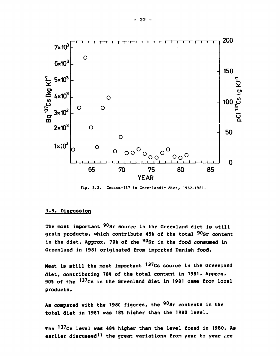

**Fig. 3.2. Cesium-137 in Greenlandic diet, 1962-1981.** 

#### **3.9. Discussion**

**The most important <sup>90</sup>Sr source in the Greenland diet is still grain products, which contribute 45% of the total <sup>90</sup>Sr content in the diet. Approx. 70% of the <sup>90</sup>Sr in the food consumed in Greenland in 1981 originated from imported Danish food.** 

**Heat is still the most important <sup>137</sup>Cs source in the Greenland diet, contributing 78% of the total content in 1981. Approx. 90% of the <sup>137</sup>Cs in the Greenland diet in 1981 came from local products.** 

**As compared with the 1980 figures, the <sup>90</sup>Sr contents in the total diet in 1981 was 18% higher than the 1980 level.** 

**The <sup>137</sup>Cs level was 48% higher than the level found in 1980. As earlier discussed<sup>1</sup>) the great variations from year to year are**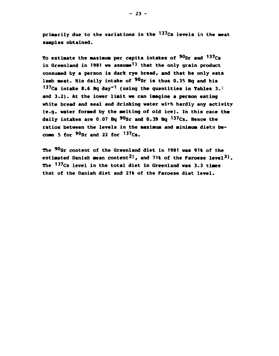**primarily due to the variations in the <sup>137</sup>Cs levels in the seat samples obtained.** 

**To estimate the maximum per capita intakes of <sup>90</sup>Sr and <sup>137</sup>Cs in Greenland in 1981 we assume<sup>1</sup>) that the only grain product consumed by a person is dark rye bread, and that he only eats lamb meat. His daily intake of <sup>90</sup>Sr is thus 0.35 Bq and his <sup>137</sup>Cs intake 8.6 Bq day'<sup>1</sup> (using the quantities in Tables 3.T and 3.2). At the lower limit we can imagine a person eating white bread and seal and drinking water with hardly any activity (e.g. water formed by the melting of old ice). In this case the daily intakes are 0.07 Bq <sup>90</sup>Sr and 0.39 Bq <sup>137</sup>Cs. Hence the ratios between the levels in the maximum and minimum diets become 5 for <sup>90</sup>Sr and 22 for <sup>137</sup>Cs.** 

**The <sup>90</sup>Sr content of the Greenland diet in 1981 was 91% of the estimated Danish mean content<sup>2</sup>), and 71% of the Paroese level<sup>3</sup>). The <sup>137</sup>Cs level in the total diet in Greenland was 3.3 times that of the Danish diet and 21% of the Paroese diet level.**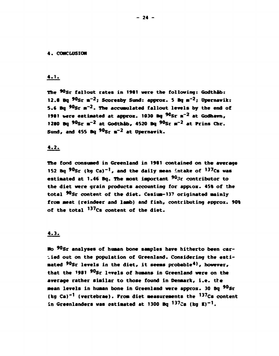#### **4. CONCLUSION**

#### **4.1,**

The <sup>90</sup>Sr fallout rates in 1981 were the following: Godth**åb**: **12.8 Bq \*°Sr »~<sup>2</sup>; Scoresby Sand: approx. 5 Bq** *m~<sup>2</sup> ;* **Upernavik: 5.« Bq \*°Sr M~ <sup>2</sup> . The accumulated fallout levels by the end of 1981 were estimated at approx. 1030 Bq <sup>90</sup>Sr m<sup>-2</sup> at Godhavn, 12B0 Bq <sup>90</sup>Sr m~<sup>2</sup> at Godthåb, 4520 Bq \*°Sr** *m~<sup>2</sup>*  **at Prins Chr. Sund, and 4S5 Bq <sup>90</sup>Sr** *m~<sup>2</sup>*  **at Upernavik.** 

# **4.2.**

**The food consuaed in Greenland in 1901 contained on the average 152 Bq <sup>90</sup>Sr (kg Ca)"<sup>1</sup> , and the daily mean intake of <sup>137</sup>Cs was estimated at 1.46 Bq. The Most important 9u3r contributor to the diet were grain products accounting for apptox. 45% of the**  total <sup>90</sup>Sr content of the diet. Cesium-13? originated mainly from meat (reindeer and lamb) and fish, contributing approx. 90% **of the total <sup>137</sup>Cs content of the diet.** 

#### **4.3.**

**No<sup>9</sup>°Sr analyses of huaan bone samples have hitherto been carried out on the population of Greenland. Considering the esti-Mated <sup>9</sup>°Sr levels in the diet, it seeas probable<sup>4</sup>), however, that the 1981 <sup>90</sup>Sr levels of huaans in Greenland were on the average rather similar to those found in Denmark, i.e. the Mean levels in human bone in Greenland were approx. 30 Bq \*°Sr**  (kg Ca)<sup>-1</sup> (vertebrae). Prom diet measurements the <sup>137</sup>Cs content **in Greenlanders was estimated at 1300 Bq <sup>137</sup>Cs (kg K)" <sup>1</sup> .**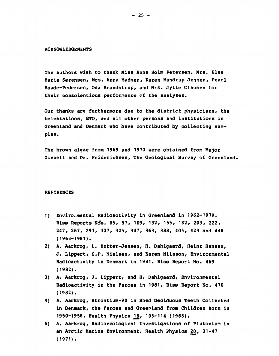#### **ACKNOWLEDGEMENTS**

**The authors wish to thank Miss Anna Holm Petersen, Mrs. Else Marie Sørensen, Mrs. Anna Madsen, Karen Mandrup Jensen, Pearl Baade-Pedersen, Oda Brandstrup, and Mrs. Jytte Clausen for their conscientious performance of the analyses.** 

**Our thanks are furthermore due to the district physicians, the telestations, GTO, and all other persons and institutions in Greenland and Denmark who have contributed by collecting samples.** 

**The brown algae from 1969 and 1970 were obtained from Major Ziebell and Dr. Friderichsen, The Geological Survey of Greenland.** 

#### **REFERENCES**

- 1) Enviro.mental Radioactivity in Greenland in 1962-1979. **Risø Reports Nds. 65, 87, 109, 132, 155, 182, 203, 222, 247, 267, 293, 307, 325, 347, 363, 388, 405, 423 and 448 (1963-1981).**
- **2) A. Aarkrog, L. Bøtter-Jensen, H. Dahlgaard, Heinz Hansen, J. Lippert, S.P. Nielsen, and Karen Nilsson, Environmental Radioactivity in Denmark in 1981. Risø Report No. 469 (1982).**
- **3) A. Aarkrog, J. Lippert, and H. Dahlgaard, Environmental Radioactivity in the Faroes in 1981. Risø Report No. 470 (1982).**
- **4) A. Aarkrog, Strontium-90 in Shed Deciduous Teeth Collected in Denmark, the Faroes and Greenland from Children Born in 1950-1958. Health Physics J^, 105-114 (1968).**
- **5) A. Aarkrog, Radioecological Investigations of Plutonium in an Arctic Marine Environment. Health Physics J20, 31-47 (1971).**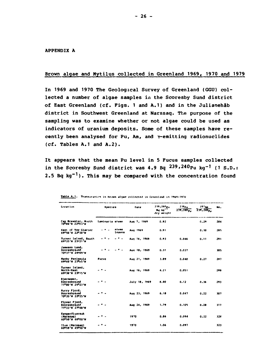APPENDIX A

#### Brown algae and Mytilus collected in Greenland 1969, 1970 and 1979

In 1969 and 1970 The Geological Survey of Greenland (GGU) collected a number of algae samples in the Scoresby Sund district of East Greenland (cf. Figs. 1 and A.1) and in the Julianehab district in Southwest Greenland at Narssaq. The purpose of the sampling was to examine whether or not algae could be used as indicators of uranium deposits. Some of these samples have recently been analysed for Pu, Am, and Y-emitting radionuclides (cf. Tables A.1 and A.2).

It appears that the mean Pu level in 5 Fucus samples collected in the Scoresby Sund district was 4.9 Bq  $^{239}$ ,  $^{240}$ Pu kq<sup>-1</sup> (1 S.D.: 2.5 Bq  $kg^{-1}$ ). This may be compared with the concentration found

| Location                                         | <b>Species</b>         | Date          | 239,240 <sub>Pu</sub>             | 238p <sub>U</sub> | 241 <sub>AB</sub>      | NO. |
|--------------------------------------------------|------------------------|---------------|-----------------------------------|-------------------|------------------------|-----|
|                                                  |                        |               | By kg <sup>-1</sup><br>dry weight | $239,740_{p_1}$   | 714, 740 <sub>Pu</sub> |     |
| Cap Brewster, Morth<br>70006'N 22003'W           | <b>Laminaria stems</b> | Aug 7, 1969   | 0.92                              |                   | 0.29                   | 284 |
| East of Tow Glacier<br>69056'N 22030'W           | stems<br>leaves        | Aug 1969      | 0.91                              |                   | 0.30                   | 285 |
| Turner Island, South<br>69035'N 23021'W          |                        | Aug 16, 1969  | 0.93                              | 0.046             | 0.11                   | 291 |
| Jameson Land,<br>Scoresbysund<br>70037'N 24009'W |                        | Aug 18, 1969  | 0.31                              | 0.037             |                        | 305 |
| Manhy Peninsula<br>69044'N 23 <sup>0</sup> o5'W  | <b>Pucus</b>           | Aug 21, 1969  | 3.59                              | 0.040             | 0.27                   | 217 |
| Turner Island,<br>North-East<br>690381N 230151W  |                        | Aug 16, 1969  | 4.21                              | 0.051             |                        | 209 |
| Bjørnemer,<br>Scoresbysund<br>71000'N 25023'W    |                        | July 18, 1969 | 8.40                              | 0.12              | 0.36                   | 293 |
| Hurry Fjord,<br>Scoresbysund<br>70035'N 22025'W  |                        | Aug 23, 1969  | 6.10                              | 0.047             | 0.22                   | 307 |
| Flyver Fjord,<br>Scoresbysund<br>71033'N 27048'W |                        | Aug 24, 1969  | 1.79                              | 0.105             | 0.20                   | 317 |
| Kangerdluarsuk<br>(Marssag)<br>60050'N 46000'W   |                        | 1970          | 0.86                              | 0.094             | 0.22                   | 324 |
| Ilua (Marssaq)<br>60059'N 45050'W                |                        | 1970          | 1.06                              | 0.097             |                        | 323 |

Table A.1. Transuranies in brown algae collected in Greenland in 1969-1970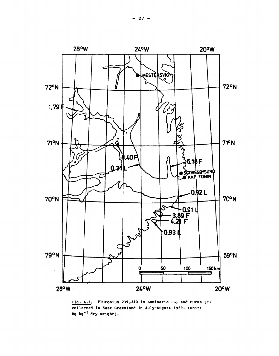

Pig. A.l. Plutonium-239,240 in Laminaria (L) and Fucus (P) collected in **Bast** Greenland in July-August 1969. (Unit: Bq **kg"<sup>1</sup>** dry **weight).**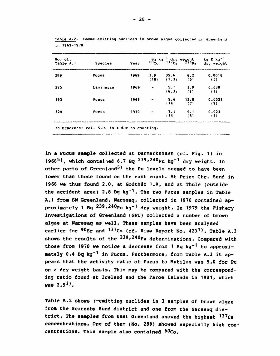| No. cf.<br>Table A.1 | <b>Species</b> | Year |                          | Bg kg <sup>-1</sup> dry weight<br>60 <sub>Co</sub> 137 <sub>Cs</sub> 226 <sub>Ra</sub> |             | $kg$ K $kg^{-1}$<br>dry weight |
|----------------------|----------------|------|--------------------------|----------------------------------------------------------------------------------------|-------------|--------------------------------|
| 289                  | <b>Fucus</b>   | 1969 | 3.9<br>(18)              | 35.6<br>(1.3)                                                                          | 6.2<br>(5)  | 0.0018<br>(5)                  |
| 285                  | Laminaria      | 1969 | $\overline{\phantom{0}}$ | 5.1<br>(6.3)                                                                           | 3.9<br>(8)  | 0.030<br>(1)                   |
| 293                  | <b>Fucus</b>   | 1969 | -                        | 5.6<br>(14)                                                                            | 12.0<br>(7) | 0.0028<br>(9)                  |
| 324                  | <b>Fucus</b>   | 1970 |                          | 3.1<br>(14)                                                                            | 9.1<br>(5)  | 0.023<br>(1)                   |

Table A.2. Gamme-emitting nuclides in brown algae collected in Greenland **in 1969-1970** 

**In brackets: rel. S.D. in 1 1 due to counting.** 

**in a Fucus sample collected at Danmarkshavn (cf. Fig. 1) in 1968<sup>5</sup>>, which contained 6.7 Bq 239,240Pu kg-1 dr y we ig n t. in other parts of Greenland^) the Pu levels seemed to have been lower than those found on the east coast. At Prins Chr. Sund in 1968 we thus found 2.0, at Godthåb 1.9, and at Thule (outside the accident area) 2.8 Bq kg-1. The two Fucus samples in Table A.I from SW Greenland, Narssaq, collected in 1970 contained ap**proximately 1 Bq  $239,240$ Pu kq<sup>-1</sup> dry weight. In 1979 the Fishery **Investigations of Greenland (GFU) collected a number of brown algae at Narssaq as well. These samples have been analysed earlier for <sup>90</sup>Sr and <sup>137</sup>Cs (cf. Rise Report No. 423<sup>1</sup>). Table A.3 shows the results of the 239,240pu determinations. Compared with those from 1970 we notice a decrease from 1 Bq kg"<sup>1</sup> to approximately 0.4 Bq kg"<sup>1</sup> in Fucus. Furthermore, from Table A.3 it appears that the activity ratio of Fucus to Mytilus was 5.0 for Pu on a dry weight basis. This may be compared with the corresponding ratio found at Iceland and the Faroe Islands in 1981, which was 2.5<sup>3</sup>>.** 

**Table A.2 shows Y-emitting nuclides in 3 samples of brown algae from the Scoresby Sund district and one from the Narssaq district. The samples from East Greenland showed the highest <sup>137</sup>Cs concentrations. One of them (No. 289) showed especially high concentrations. This sample also contained <sup>60</sup>Co.**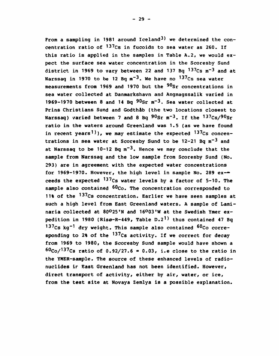**From a sampling in 1981 around Iceland<sup>3</sup>) we determined the concentration ratio of \*<sup>37</sup>Cs in fucoids to sea water as 260. If this ratio is applied in the samples in Table A.2, we would expect the surface sea water concentration in the Scoresby Sund district in 1969 to vary between 22 and 137 Bq <sup>137</sup>Cs m~<sup>3</sup> and at Narssaq in 1970 to be 12 Bq m~<sup>3</sup>. We have no 137Cs sea water**  measurements from 1969 and 1970 but the <sup>90</sup>Sr concentrations in **sea water collected at Danmarkshavn and Angmagssalik varied in 1969-1970 between 8 and 14 Bq <sup>90</sup>Sr m~<sup>3</sup>. Sea water collected at Prins Christians Sund and Godthåb (the two locations closest to Narssaq) varied between 7 and 8 Bq <sup>90</sup>Sr m- 3 . If the <sup>137</sup>Cs/<sup>90</sup>Sr ratio in the waters around Greenland was 1.5 (as we have found in recent years')), we may estimate the expected ^<sup>37</sup>Cs concentrations in sea water at Scoresby Sund to be 12-21 Bq m~<sup>3</sup> and at Narssaq to be 10-12 Bq m~<sup>3</sup>. Hence we may conclude that the sample from Narssaq and the low sample from Scoresby Sund (No. 293) are in agreement with the expected water concentrations for 1969-1970. However, the high level in sample No. 289 ex ceeds the expected '3 7Cs water levels by a factor of 5-10. The sample also contained 6<sup>n</sup>Co. The concentration corresponded to**  11% of the <sup>137</sup>Cs concentration. Earlier we have seen samples at **such a high level from East Greenland waters. A sample of Laminaria collected at 80°25'N and 16°03'W at the Swedish Ymer expedition in 1980 (Risø-R-449, Table D.2<sup>1</sup>) thus contained 47 Bq <sup>137</sup>Cs kg"\* dry weight. This sample also contained <sup>60</sup>Co corresponding to 2% of the ^<sup>37</sup>Cs activity. If we correct for decay from 1969 to 1980, the Scoresby Sund sample would have shown a <sup>60</sup>Co/<sup>137</sup>Cs ratio of 0.92/27.6 = 0.03, i.e close to the ratio in the YMER-sample. The source of these enhanced levels of radionuclides ir East Greenland has not been identified. However, direct transport of activity, either by air, water, or ice, from the test site at Novaya Zemlya is a possible explanation.**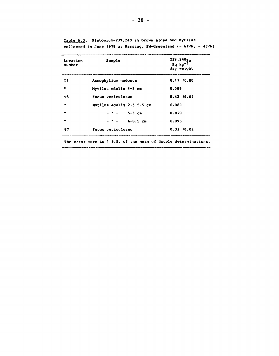| Location<br>Number | Sample                    | $239,240p_0$<br>Bq $kg^{-1}$<br>dry weight |
|--------------------|---------------------------|--------------------------------------------|
| тı                 | Ascophyllum nodosum       | $0.17\_10.00$                              |
| m                  | Mytilus edulis 4-8 cm     | 0.089                                      |
| T5                 | Fucus vesiculosus         | $0.42 \pm 0.02$                            |
| ۰                  | Mytilus edulis 2.5-5.5 cm | 0.080                                      |
|                    | $5 - 6$ cm                | 0.079                                      |
|                    | $6 - 8.5$ cm              | 0.095                                      |
| T7                 | <b>Pucus vesiculosus</b>  | $0.33 \pm 0.02$                            |

**Table A.3. Plutonium-239,240 in brown algae and Mytilus collected in June 1979 at Narssaq, SW-Greenland (~ 61°N, ~ 46°W)** 

**The error term is 1 S.B. of the mean of double determinations.** 

----

للمحامرة

. . . . . .

 $\overline{a}$ 

----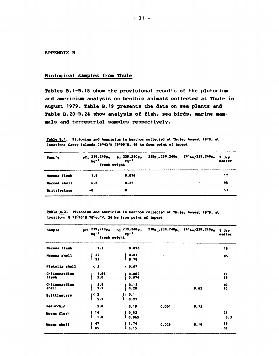#### **APPENDIX B**

## **Biological samples from Thule**

**Tables B.1-B.18 show the provisional results of the plutonium and americium analysis on benthic animals collected at Thule in August 1979. Table B.19 presents the data on sea plants and Table B.20-B.24 show analysis of fish, sea birds, marine mammals and terrestrial samples respectively.** 

| Table B.1. Plutonium and Americium in benthos collected at Thule, August 1979, at |  |  |  |
|-----------------------------------------------------------------------------------|--|--|--|
| location: Carey Islands 76043'N 73000'W, 98 km from point of impact               |  |  |  |
|                                                                                   |  |  |  |

| Samp'e              | pCi 239,240p <sub>u</sub> Bq 239,240p <sub>u</sub><br>kg <sup>-1</sup> kg <sup>-1</sup><br>fresh weight |       | 238p <sub>u/</sub> 239,240p <sub>u</sub> 241 <sub>Am/</sub> 239,240p <sub>u</sub> | <b>a</b> dry<br>matter |
|---------------------|---------------------------------------------------------------------------------------------------------|-------|-----------------------------------------------------------------------------------|------------------------|
| <b>Macoma flesh</b> | 1.9                                                                                                     | 0.070 |                                                                                   | 17                     |
| Macoma shell        | 6.8                                                                                                     | 0.25  |                                                                                   | 95                     |
| <b>Brittlestars</b> | ~0                                                                                                      | -0    |                                                                                   | 53                     |

Table B.2. Plutonium and Americium in benthos collected at Thule, August 1979, at location: **B** 76<sup>0</sup>40'N 70<sup>C</sup>**uu'X, 24 km** from point of impact

| Sample                 | pCi 239,240pu<br>kg <sup>-1</sup><br>fresh weight               | Bg 239,240 Pu<br>$kg-1$ |       | 238pu/239,240pu 241 <sub>Am</sub> /239,240 <sub>Pu</sub> | % dry<br>matter |
|------------------------|-----------------------------------------------------------------|-------------------------|-------|----------------------------------------------------------|-----------------|
| Macoma flesh           | 2.1                                                             | 0.078                   |       |                                                          | 18              |
| Macoma shell           | $\begin{array}{c} \n \textbf{22} \\  \textbf{21}\n \end{array}$ | 0.81<br>0.78            |       |                                                          | 85              |
| Hiatella shell         | $\langle$ 2                                                     | 0.07                    |       |                                                          |                 |
| Chlinocardium<br>flesh | 1.66<br>2.0                                                     | 0.062<br>0.074          |       |                                                          | 19<br>19        |
| Chlinocardium<br>shell | $3.5$<br>$7.7$                                                  | 0.13<br>0.28            |       | 0.62                                                     | 80<br>90        |
| <b>Brittlestars</b>    | (3, 3, 7)                                                       | $\sim$ 0.1<br>0.21      |       |                                                          |                 |
| Seaurchin              | 5.0                                                             | 0.19                    | 0.051 | 0.13                                                     |                 |
| Worms flesh            | 14.<br>1.8                                                      | 0,52<br>0.065           |       |                                                          | 24<br>3.3       |
| Worms shell            | $\frac{47}{85}$                                                 | 1,74<br>3.15            | 0.026 | 0.19                                                     | 59<br>68        |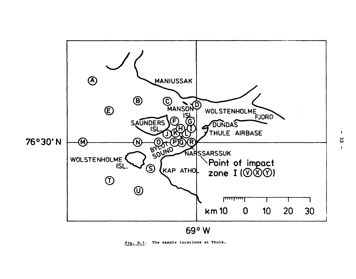

**Fig. B.1. The sample locations at Thule.** 

**IO** 

 $\mathbf{I}$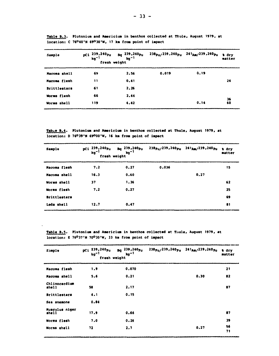| Sample              | pCi 239,240 <sub>Pu</sub><br>$kg-1$<br>fresh weight | 8q 239,240 <sub>Pu</sub><br>$kq-1$ |       | $238_{\text{Pu}}$ /239,240 $_{\text{Pu}}$ 241 $_{\text{Am}}$ /239,240 $_{\text{Pu}}$ | a dry<br>matter |
|---------------------|-----------------------------------------------------|------------------------------------|-------|--------------------------------------------------------------------------------------|-----------------|
| Macoma shell        | 69                                                  | 2.56                               | 0.019 | 0.19                                                                                 |                 |
| Macoma flesh        | 11                                                  | 0.41                               |       |                                                                                      | 24              |
| <b>Brittlestars</b> | 61                                                  | 2.26                               |       |                                                                                      |                 |
| Worms flesh         | 66                                                  | 2.44                               |       |                                                                                      |                 |
| Worms shell         | 119                                                 | 4.42                               |       | 0.14                                                                                 | 36<br>60        |

**Table B.3. Plutonium and Americium in benthos collected at Thule, August 1979, at location: C 76°40'N 69°30'N, 17 km from point of iapact** 

**Tabxe B.4. Plutonium and Americium in benthos collected at Thule, August 1979, at location: D 76°39'N 69°00'W, 16 km from point of impact** 

| Sample              | pCi 239,240pu<br>$kg^{-1}$<br>fresh weight | $\frac{Bq}{kq}$ $\frac{239}{kq}$ $^{-1}$ |       | 238pu/239,240pu 241Am/239,240pu | a dry<br>matter |
|---------------------|--------------------------------------------|------------------------------------------|-------|---------------------------------|-----------------|
| Macoma flesh        | 7.2                                        | 0.27                                     | 0.036 |                                 | 15              |
| Macoma shell        | 16.3                                       | 0.60                                     |       | 0.27                            |                 |
| Worms shell         | 37                                         | 1.36                                     |       |                                 | 62              |
| Worms flesh         | 7.2                                        | 0.27                                     |       |                                 | 25              |
| <b>Brittlestars</b> |                                            |                                          |       |                                 | 69              |
| Leda shell          | 12.7                                       | 0.47                                     |       |                                 | 81              |

**Table B.5. Plutonium and Americium in benthos collected at Tiiule, August 1979, at location: E 76°37'N 70°30'H, 33 km from point of impact** 

| Sample                  | pCi 239,240pu<br>$kg-1$<br>fresh weight | $Bq$ 239, 240 $p_u$<br>$kg-1$ | $238p_U/239.240p_U$ $241_{Am}/239.240p_U$ |      | <i>a</i> dry<br>matter |
|-------------------------|-----------------------------------------|-------------------------------|-------------------------------------------|------|------------------------|
| Macoma flesh            | 1.9                                     | 0.070                         |                                           |      | 21                     |
| Macoma shell            | 5.6                                     | 0.21                          |                                           | 0.30 | 82                     |
| Chlinocardium<br>shell  | 58                                      | 2,17                          |                                           |      | 87                     |
| <b>Brittlestars</b>     | 4.1                                     | 0.15                          |                                           |      |                        |
| Sea anemone             | 0.84                                    |                               |                                           |      |                        |
| Musculus niger<br>shell | 17.9                                    | 0.66                          |                                           |      | 87                     |
| Worms flesh             | 7.0                                     | 0.26                          |                                           |      | 39                     |
| Worms shell             | 72                                      | 2.7                           |                                           | 0.27 | 56<br>71               |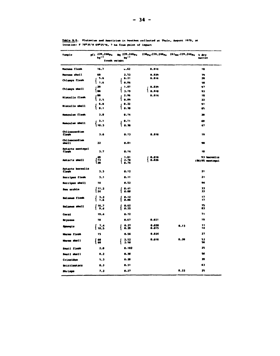| Sample                    | pCi 239,240 pu<br>kg <sup>-1</sup> | ag 239,240 <sub>Pu</sub><br>ky* <sup>1</sup> |                | 230p <sub>u/</sub> 239,240p <sub>u</sub> 241 <sub>Am/</sub> 239,240p <sub>u</sub> a dry<br>hat ter |  |
|---------------------------|------------------------------------|----------------------------------------------|----------------|----------------------------------------------------------------------------------------------------|--|
|                           | fresh weight                       |                                              |                |                                                                                                    |  |
| <b>Macoma flesh</b>       | 16.7                               | $-.62$                                       | 0.014          | 18                                                                                                 |  |
| <b>Macque shell</b>       | 68                                 | 2.52                                         | 8.829          | $\mathbf{r}$                                                                                       |  |
| Chlamys flesh             | 5.6                                | 0.21                                         | <b>0.016</b>   | 20                                                                                                 |  |
|                           | 1.6                                | 0.06<br>1.07                                 |                | ×8<br>97                                                                                           |  |
| Chlamys shell             | 29<br>1 ac                         | 1 3.19                                       | 0.029<br>0.910 | 93                                                                                                 |  |
|                           | 88                                 | 2.96                                         | 0.014          | 18                                                                                                 |  |
| Miatella flemh            | l 2.5                              | 0.09                                         |                | 22                                                                                                 |  |
|                           | 6.0                                | $\bullet$ . 22                               |                | 9t                                                                                                 |  |
| <b>Niatella shell</b>     | $1$                                | 0.30                                         |                | 85                                                                                                 |  |
| Monculus flesh            | 3.0                                | 0.14                                         |                | 28                                                                                                 |  |
|                           | 3.1                                | 0.11                                         |                | 69                                                                                                 |  |
| Monculus shell            | 1 10.3                             | 0.30                                         |                | 67                                                                                                 |  |
| Ch1 inocardium<br>flesh   | J.6                                | 0.13                                         | 0.016          | 19                                                                                                 |  |
| Chlinecardium             |                                    |                                              |                |                                                                                                    |  |
| shel1                     | 22                                 | O.OI                                         |                | 98                                                                                                 |  |
| Astarte montagui<br>flesh | 3.7                                | 8.14                                         |                | 18                                                                                                 |  |
|                           | 49                                 | 1.81                                         | 8.816          | 93 borezlis                                                                                        |  |
| Astarte shell             | 73<br>$\overline{\mathbf{z}}$      | 2.70<br>0.74                                 | 10.026         | (06)95 montagui                                                                                    |  |
| Astarte borealis          |                                    | 0.12                                         |                | 21                                                                                                 |  |
| flesh                     | 3.3<br>3.1                         | 0.11                                         |                | 21                                                                                                 |  |
| Serripes flesh            | 14                                 | 0.52                                         |                | 94                                                                                                 |  |
| Serripes shell            |                                    |                                              |                |                                                                                                    |  |
| Sea urchin                | I 11.2<br>l 24                     | 0.41<br>0.40                                 |                | 11<br>33                                                                                           |  |
| Dalanus flesh             | 3.2<br>١<br>1.6                    | 6.12<br>6.86                                 |                | 17<br>17                                                                                           |  |
|                           | 16,7                               | 0.62                                         |                | 75                                                                                                 |  |
| <b>Belanus</b> shell      | l 9.4                              | $1 - 0.35$                                   |                | 83                                                                                                 |  |
| Coral                     | 19.4                               | 0.72                                         |                | 71                                                                                                 |  |
| <b>Dryosoa</b>            | 10                                 | 0.67                                         | 0.021          | 19                                                                                                 |  |
| Spangt o                  | 7,4<br>10.5                        | 0.27<br>$\bullet$ . 39                       | 0.020<br>0.015 | $\mathbf{H}$<br>0.13<br>14                                                                         |  |
| Norms flesh               | 15                                 | 0.56                                         | 0.024          | 27                                                                                                 |  |
| Horms shell               | 68<br>ه ۱                          | 2.52<br>2.50                                 | 8.816          | 0.20<br>53<br>56                                                                                   |  |
| Snail flesh               | 2.0                                | <b>8.182</b>                                 |                | 25                                                                                                 |  |
| Snail shell               | $\bullet$ . 2                      | 0.30                                         |                | 96                                                                                                 |  |
| Crinoidea                 | 5.)                                | 0.20                                         |                | m                                                                                                  |  |
| <b>Brittlestars</b>       | $\bullet$ .)                       | 0. JI                                        |                | 63                                                                                                 |  |
| She impo                  | 7.2                                | 0.27                                         |                | 0.22<br>25                                                                                         |  |

Table B.6. Plutonium and Americium in beathos collected at Thule, Amyust 1979, at location: ? 76°35's 69°25'W, ? ha from point of impact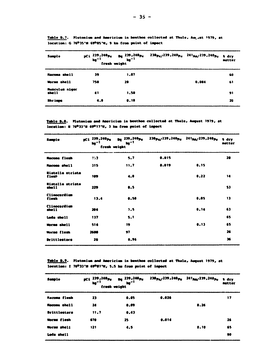| Sample                         | pCi 239,240 <sub>Pu</sub><br>$kq^{-1}$<br>fresh weight | <b>Dg</b> 239,240 <sub>Pu</sub><br>$\mathbf{ho}^{-1}$ | 238 <sub>Pu/</sub> 239,240 <sub>Pu</sub> 241 <sub>Am/</sub> 239,240 <sub>Pu</sub> |       | <b>t</b> dry<br>matter |
|--------------------------------|--------------------------------------------------------|-------------------------------------------------------|-----------------------------------------------------------------------------------|-------|------------------------|
| <b>Macoma shell</b>            | 39                                                     | 1.07                                                  |                                                                                   |       | 60                     |
| Worms shell                    | 750                                                    | 28                                                    |                                                                                   | 0.084 | 61                     |
| <b>Musculus niger</b><br>shell | 41                                                     | 1.50                                                  |                                                                                   |       | 91                     |
| <b>Shrings</b>                 | 4.8                                                    | 0.18                                                  |                                                                                   |       | 20                     |

Table B.7. Plutonium and Americium in benthos collected at Thule, August 1979, at location: G 76035'N 69005'W, 9 km from point of impact

Table B.S. Plutonium and Americium in benthos collected at Thule, August 1979, at location: # 76°33'W 69°17'W, 3 km from point of impact

| Sample                           | pCi 239,240 <sub>Pu</sub><br>$\log^{-1}$<br>fresh weight | <sub>Da</sub> 239,240 <sub>Pu</sub><br>ly <sup>-1</sup> | 238 <sub>Pu</sub> /239,240 <sub>Pu</sub> 241 <sub>An/</sub> 239,240 <sub>Pu</sub> |      | <b>M</b> dry<br>matter |
|----------------------------------|----------------------------------------------------------|---------------------------------------------------------|-----------------------------------------------------------------------------------|------|------------------------|
| Macoma flesh                     | $\mathbf{1}^{\prime}$                                    | 5.7                                                     | 0.015                                                                             |      | 20                     |
| <b>Macoma shell</b>              | 315                                                      | 11.7                                                    | 0.019                                                                             | 0.15 |                        |
| <b>Hiatella striata</b><br>flesh | 109                                                      | 4.0                                                     |                                                                                   | 0.22 | 14                     |
| <b>Miatella striata</b><br>shell | 229                                                      | .5                                                      |                                                                                   |      | 53                     |
| <b>Clinocardium</b><br>flesh     | 13.4                                                     | 0.50                                                    |                                                                                   | 0.05 | 13                     |
| <b>Clinocardium</b><br>shell     | 204                                                      | 7.5                                                     |                                                                                   | 0.14 | 63                     |
| Leda shell                       | 137                                                      | $5 - 1$                                                 |                                                                                   |      | 65                     |
| <b>Worms</b> shell               | 514                                                      | 19                                                      |                                                                                   | 0.13 | 65                     |
| <b>Worms flesh</b>               | 2600                                                     | 97                                                      |                                                                                   |      | 26                     |
| <b>Drittlestars</b>              | 26                                                       | 0.96                                                    |                                                                                   |      | 36                     |

Table B.9. Plutonium and Americium in benthos collected at Thule, August 1979, at location: I 76°33'W 69°07'W, 5.5 km from point of impact

| Sample              | pci 239,240 <sub>Pu</sub><br>kg" <sup>1</sup><br>fresh weight | $p_{\rm g}$ 239,240 $p_{\rm u}$<br>$M^{-1}$ | 238 <sub>Pu/</sub> 239,240 <sub>Pu</sub> 241 <sub>Am/</sub> 239,240 <sub>Pu</sub> |      | <b>W</b> dry<br>matter |
|---------------------|---------------------------------------------------------------|---------------------------------------------|-----------------------------------------------------------------------------------|------|------------------------|
| Macoma flesh        | 23                                                            | 0.85                                        | 0.026                                                                             |      | 17                     |
| <b>Racoma shell</b> | 24                                                            | 0.89                                        |                                                                                   | 0.26 |                        |
| <b>Brittlestars</b> | 11.7                                                          | 0.43                                        |                                                                                   |      |                        |
| <b>Morms flesh</b>  | 670                                                           | 25                                          | 0.014                                                                             |      | 26                     |
| <b>Worms</b> shell  | 121                                                           | 4.5                                         |                                                                                   | 0.10 | 65                     |
| Leda shell          |                                                               |                                             |                                                                                   |      | 90                     |
|                     |                                                               |                                             |                                                                                   |      |                        |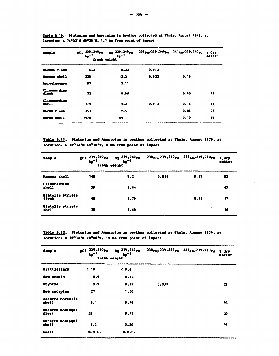| <b>Sample</b><br>$\overline{\phantom{a}}$ | pCi 239,240pu<br>$kg-1$<br>fresh weight | 239,240 <sub>Pu</sub><br>Bq.<br>$kg-1$ | 238pu/239,240pu 241am/239,240pu |      | t dry<br>matter |
|-------------------------------------------|-----------------------------------------|----------------------------------------|---------------------------------|------|-----------------|
| <b>Macoma flesh</b>                       | 6.2                                     | 0.23                                   | 0.013                           |      |                 |
| Macoma shell                              | 329                                     | 12.2                                   | 0.022                           | 0.18 |                 |
| <b>Brittlestars</b>                       | 57                                      | 2.11                                   |                                 |      |                 |
| Clinocardium<br>flesh                     | 23                                      | 0.86                                   |                                 | 0.53 | 14              |
| Clinocardium<br>shell                     | 114                                     | 4.2                                    | 0.013                           | 0.16 | 68              |
| <b>Worms flesh</b>                        | 257                                     | 9.5                                    |                                 | 0.00 | 23              |
| Worms shell                               | 1470                                    | 54                                     |                                 | 0.10 | 59              |

Table B.10. Plutonium and Americium in benthos collected at Thule, August 1979, at location: K 76<sup>0</sup>32'N 69<sup>0</sup>20'W, 1.7 km from point of impact

 $\ddot{\phantom{a}}$ 

Table **B.11.** Plutonium and Americium in benthos collected at Thule, August 1979, at **location:** *U* **7«°32'H 69° 10'\*, 4 ka froa point of iapact** 

| <b>Sample</b>                    | pCi 239,240 <sub>Pu</sub><br>$kg^{-1}$<br>fresh weight | 239,240 <sub>Pu</sub><br><b>Bq</b><br>$kg-1$ |       | 238 <sub>Pu</sub> /239,240 <sub>Pu</sub> 241 <sub>Am/</sub> 239,240 <sub>Pu</sub> | <b>A</b> dry<br>matter |
|----------------------------------|--------------------------------------------------------|----------------------------------------------|-------|-----------------------------------------------------------------------------------|------------------------|
| <b>Macoma shell</b>              | 140                                                    | 5.2                                          | 0.014 | 0.17                                                                              | 82                     |
| Clinocardium<br>shell            | 39                                                     | 1.44                                         |       |                                                                                   | 65                     |
| <b>Hiatella striata</b><br>flesh | 48                                                     | 1.79                                         |       | 0.13                                                                              | 17                     |
| <b>Miatella striata</b><br>shell | 38                                                     | 1.40                                         |       | ٠                                                                                 | 56                     |

**Table ».12. Plutonian and Aaariciua in benthos collected at Thule, August 1979, at**  location: # 76°30'# 70°00'W, 19 ka from point of impact

| Sample                    | pCi 239,240pu<br>$kg-1$<br>fresh weight | $pq$ 239, 240 $pu$<br>$kg - 1$ | 238pu/239,240pu 241 <sub>Am/</sub> 239,240pu | t dry<br>matter |
|---------------------------|-----------------------------------------|--------------------------------|----------------------------------------------|-----------------|
| <b>Brittlestars</b>       | $\leq 10$                               | 0.4                            |                                              |                 |
| Sea urchin                | 5.9                                     | 0.22                           |                                              |                 |
| <b>Bryozoa</b>            | 9.9                                     | 0.37                           | 0.032                                        | 25              |
| Sea scorpion              | 27                                      | 1,00                           |                                              |                 |
| Astarte borealis<br>shell | 5.1                                     | 0.19                           |                                              | 93              |
| Astarte montagui<br>flesh | 21                                      | 0.77                           |                                              | 20              |
| Astarte montagui<br>shell | 5.3                                     | 0.20                           |                                              | 91              |
| Snail                     | $B.D.L.$                                | <b>B.D.L.</b>                  |                                              |                 |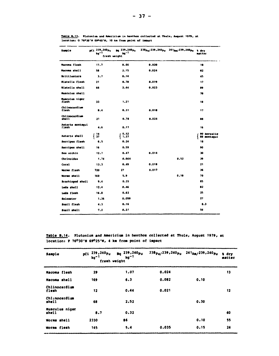| Sample                    | pCi 239,240 <sub>Pu</sub><br>ka" '<br>fresh weight | Bg 239,240 <sub>Pu</sub><br>kg <sup>-1</sup> | 230 <sub>Pu</sub> /239,240 <sub>Pu</sub> | 241 <sub>8m</sub> /239,240 <sub>Pu</sub> | h drv<br>nat ter           |
|---------------------------|----------------------------------------------------|----------------------------------------------|------------------------------------------|------------------------------------------|----------------------------|
| Macoma flesh              | 17.7                                               | 0.66                                         | 0.020                                    |                                          | 18                         |
| Macoma shell              | 58                                                 | 2.15                                         | 0.024                                    |                                          | 82                         |
| <b>Brittlestars</b>       | $3 - 7$                                            | 0.14                                         |                                          |                                          | 45                         |
| Miatella flesh            | 21                                                 | 0.70                                         | 0.019                                    |                                          | 17                         |
| <b>Wiatella</b> shell     | 66                                                 | 2.44                                         | 0.023                                    |                                          | 89                         |
| Musculus shell            |                                                    |                                              |                                          |                                          | 78                         |
| Musculus niger<br>flesh   | 33                                                 | 1, 21                                        |                                          |                                          | 18                         |
| Chiinocardium<br>flesh    | 8.4                                                | 0.31                                         | 0.018                                    |                                          | 17                         |
| Chlinocardium<br>shell    | 21                                                 | 0.78                                         | 0.024                                    |                                          | 88                         |
| Astarte montaqui<br>flesh | 4.6                                                | 0.17                                         |                                          |                                          | 16                         |
| Astarte shell             | 14<br>37                                           | <b>3.52</b><br>1.37                          |                                          |                                          | 90 borealis<br>88 montagui |
| Serripes flesh            | 6.5                                                | 0.24                                         |                                          |                                          | 18                         |
| Serripes shell            | 16                                                 | 0.59                                         |                                          |                                          | 90                         |
| Sea urchin                | 12.7                                               | 0.47                                         | 0.014                                    |                                          | 30                         |
| Chrinoidea                | 1.74                                               | 0.064                                        |                                          | 0.52                                     | 39                         |
| Coral                     | 13.3                                               | 0.49                                         | 0.010                                    |                                          | 21                         |
| Worms flesh               | 720                                                | 27                                           | 0.017                                    |                                          | 36                         |
| Worms shell               | 160                                                | 5.9                                          |                                          | 0.10                                     | 70                         |
| Brachiopod shell          | 9.4                                                | 0.35                                         |                                          |                                          | 85                         |
| Leda shell                | 12.4                                               | 0.46                                         |                                          |                                          | 82                         |
| Leda flesh                | 16.8                                               | 0.62                                         |                                          |                                          | 25                         |
| Soloaster                 | 1.36                                               | 0.050                                        |                                          |                                          | 27                         |
| Snail flesh               | 4.3                                                | 0.16                                         |                                          |                                          | $\bullet$ .                |
| Snail shell               | 7.2                                                | 0.21                                         |                                          |                                          | 54                         |

Table B.13. Plutonium and Americium in benthos collected at Thule, August 1979, at location: 0 76030'N 69040'W, 10 km from point of impact

Table B.14. Plutonium and Americium in benthos collected at Thule, August 1979, at location: P 76°30'N 69°25'W, 4 km from point of impact

| Sample                     | pCi 239,240pu<br>$kg-1$<br>fresh weight | Bq 239,240 <sub>Pu</sub><br>$kg-1$ | 238pu/239,240pu 241Am/239,240pu |      | <b>A</b> dry<br>matter |
|----------------------------|-----------------------------------------|------------------------------------|---------------------------------|------|------------------------|
| Macoma flesh               | 29                                      | 1.07                               | 0.024                           |      | 13                     |
| Macoma shell               | 169                                     | 6.3                                | 0.082                           | 0.10 |                        |
| Chlinocardium<br>flesh     | 12                                      | 0.44                               | 0.021                           |      | 12                     |
| Chlinocardium<br>shell     | 68                                      | 2.52                               |                                 | 0.30 |                        |
| Musculus niger<br>script 1 | 8.7                                     | 0.32                               |                                 |      | 60                     |
| Worms shell                | 2330                                    | 86                                 |                                 | 0.10 | 55                     |
| Worms flesh                | 145                                     | 5.4                                | 0.035                           | 0.15 | 24                     |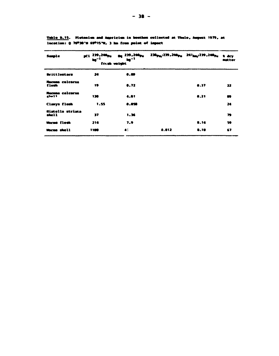| Sample                    | pci 239,240pm<br>$\mathbf{h}$ g $^{-1}$<br>fresh weight | $p_0$ 239,240 $p_0$<br>$\mathbf{h} \mathbf{y}^{-1}$ |       | 230 <sub>Pm</sub> /239.240 <sub>Pm</sub> 241 <sub>hm</sub> /239.240 <sub>Pm</sub> | <b>1 dry</b><br>matter |
|---------------------------|---------------------------------------------------------|-----------------------------------------------------|-------|-----------------------------------------------------------------------------------|------------------------|
| <b>Brittlestars</b>       | 24                                                      | 0.09                                                |       |                                                                                   |                        |
| Macoma calcarea<br>flesh  | 19                                                      | 0.72                                                |       | <b>0.37</b>                                                                       | 22                     |
| Macoma calcarea<br>shell  | 130                                                     | 4.81                                                |       | 8.21                                                                              | $\bullet$              |
| Clamys flesh              | 1.55                                                    | 8.858                                               |       |                                                                                   | 24                     |
| Wiatella striata<br>shell | דב                                                      | 1.36                                                |       |                                                                                   | 79                     |
| <b>Worms flesh</b>        | 214                                                     | 7.9                                                 |       | 8.14                                                                              | 59                     |
| Worms shell               | 1100                                                    | 41                                                  | 0.012 | 8.10                                                                              | 67                     |

Table B.15. Plutenium and Americium in benthos collected at Thule, August 1979, at location: 0 76º30's 69º15'W, 3 hm from point of impact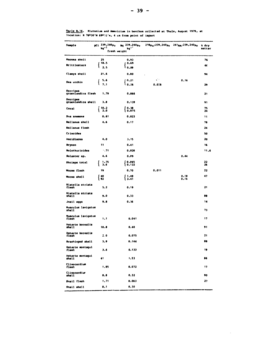| Sample                           | pCi 239,240pu<br>kg" <sup>1</sup> | Bg 239,240 <sub>Pu</sub><br>kg" |             | 238pu/239,240pu 241Am/239,240pu | <b>A</b> dry<br>matter |
|----------------------------------|-----------------------------------|---------------------------------|-------------|---------------------------------|------------------------|
|                                  | fresh weight                      |                                 |             |                                 |                        |
| Macoma shell                     | 25                                | 0.93                            |             |                                 | 76                     |
| <b>Brittlestars</b>              | 18.5<br>2.5                       | 0.69<br><b>U 0.09</b>           |             |                                 | 46                     |
| Clamys shell                     | 21.6                              | 0.80                            |             |                                 | 94                     |
| Sea urchin                       | 5.6<br>7.1                        | 0.21<br>$\frac{1}{2}$ 0.26      | ψP<br>0.020 | 0, 16                           | 29                     |
| Serripes<br>groenlandica flesh   | 1,79                              | 0.066                           |             |                                 | 21                     |
| Serripes<br>groenlandica shell   | 3.8                               | 0.139                           |             |                                 | 91                     |
| Coral                            | r<br>10.2<br>2.0                  | 0.38<br>l 0.075                 |             |                                 | 75<br>24               |
| <b>Sha anemone</b>               | 0.61                              | 0.023                           |             |                                 | 11                     |
| <b>Ballanus</b> shell            | 4.6                               | 0.17                            |             |                                 | 78                     |
| <b>Ballanus flesh</b>            |                                   |                                 |             |                                 | 24                     |
| Crinoidea                        |                                   |                                 |             |                                 | 50                     |
| Ascidiacea                       | 4.0                               | 3.15                            |             |                                 | 20                     |
| <b>Bryoso</b>                    | 11                                | 0.41                            |             |                                 | 16                     |
| Holothurioidea                   | .71                               | 0,026                           |             |                                 | 11.6                   |
| Solaster sp.                     | 4.6                               | 0.09                            |             | 0.44                            |                        |
| Shrimps total                    | 1.75<br>3.6                       | <b>CO.065</b><br><b>10.132</b>  |             |                                 | 22<br>26               |
| Worms flesh                      | 19                                | 0.70                            | 0.011       |                                 | 22                     |
| <b>Worms</b> shell               | 40<br>92                          | f 1.49<br>l 3.41                |             | 0.18<br>0.16                    | 47                     |
| <b>Hiatella</b> striata<br>flesh | 5.2                               | 0.19                            |             |                                 | 21                     |
| <b>Hiatella striata</b><br>shell | 9.0                               | 0.33                            |             |                                 | 88                     |
| Jnail eggs                       | 9.8                               | 0.36                            |             |                                 | 14                     |
| Musculus lavigatus<br>shell      |                                   |                                 |             |                                 | 73                     |
| Musculus lavigatus<br>flesh      | 1.1                               | 0.041                           |             |                                 | 17                     |
| Astarte borealis<br>shell        | 10.0                              | 0.40                            |             |                                 | 91                     |
| Astarte borealis<br>flesh        | 2.0                               | 0.075                           |             |                                 | 21                     |
| Brachiopod shell                 | 3.9                               | 0.144                           |             |                                 | 88                     |
| Astarte montagui<br>flesh        | J.f.                              | 0,133                           |             |                                 | 19                     |
| Astarte montagui<br>shell        | 41                                | 1,53                            |             |                                 | 86                     |
| Clinocardium<br>flesh            | 1.95                              | 0.072                           |             |                                 | 17                     |
| Clinocardium<br>shell            | .86                               | 0.32                            |             |                                 | 90                     |
| Snail flesh                      | 1,71                              | 0.063                           |             |                                 | 27                     |
| Snail shell                      | 8,1                               | 0.30                            |             |                                 |                        |

 $\sim 10^{-11}$ 

Tanle B.16. Plutonium and Americium in benthos collected at Thule, August 1979, at location: R 76030'N 69010'w, 4 km from point of impact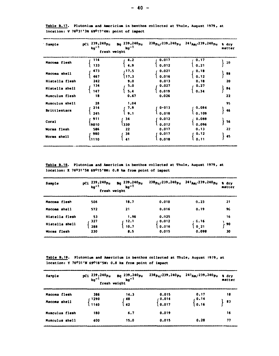| Sample                           | pCi 239,240pu<br>kg <sup>-1</sup><br>fresh weight | Bq 239,240 <sub>Pu</sub><br>kg <sup>-1</sup> | 238 <sub>Pu</sub> /239,240 <sub>Pu</sub> | $241_{\text{Am}}/239.240_{\text{Pu}}$ | a dry<br>matter |
|----------------------------------|---------------------------------------------------|----------------------------------------------|------------------------------------------|---------------------------------------|-----------------|
| Macoma flesh                     | 114<br>133                                        | 4.2<br>4.9                                   | 0.017<br>0.012                           | 0.17<br>0.21                          | 20              |
| Macoma shell                     | 473<br>467                                        | 17.5<br>17.3                                 | 0.021<br>0.016                           | 0.18<br>0.12                          | 88              |
| Hiatella flesh<br>Hiatella shell | 242<br>134<br>147                                 | 9.0<br>5.0<br>5.4                            | 0.013<br>0.027<br>0.019                  | 0.18<br>0, 27<br>0.34                 | 20<br>84        |
| Musculus flesh                   | 18                                                | 0.67                                         | 0.026                                    |                                       | 22              |
| Musculus shell                   | 28<br>214                                         | 1,04<br>7.9                                  | 0.013                                    | 0.084                                 | 95              |
| <b>Brittlestars</b>              | 245                                               | 9.1                                          | 0.018                                    | 0.109                                 | 46              |
| Coral                            | 911<br>l9010                                      | 34<br>l 330                                  | 0.012<br>0.012                           | 0.088<br>0.096                        | 56              |
| Worms flesh                      | 586                                               | 22                                           | 0.017                                    | 0.13                                  | 22              |
| Worms shell                      | 980<br><b>1110</b>                                | 36<br>41                                     | 0.017<br>0.018                           | 0.12<br>0.11                          | 45              |

**Table B.17. Plutonium and Americium in benthos collected at Thu] >, Auqust 1979, at location: V 76°31'3N 69°17'4W: point of impact** 

**Table B.18. Plutonium and Americium in benthos collected at Thule, Auqust 1979, at location: X 76°31'5N 69°15'8W: 0.8 km from point of impact** 

| Sample         | pCi $^{239,240}$ Pu<br>kg <sup>-1</sup><br>fresh weight | Bq $^{239,240}$ Pu<br>kg <sup>-1</sup> |                | $238p_u/239$ , $240p_u$ $241_{Am}/239$ , $240p_u$ | <b>a</b> dry<br><b>Matter</b> |
|----------------|---------------------------------------------------------|----------------------------------------|----------------|---------------------------------------------------|-------------------------------|
| Macoma flesh   | 506                                                     | 18.7                                   | 0.010          | 0.23                                              | 21                            |
| Macoma shell   | 572                                                     | 21                                     | 0.016          | 0.19                                              | 96                            |
| Hiatella flesh | 53                                                      | 1.96                                   | 0.025          |                                                   | 16                            |
| Hiatella shell | 327<br>288                                              | 12.1<br>10.7                           | 0.012<br>0.016 | . 0.16<br>021                                     | 90                            |
| Worms flesh    | 230                                                     | 8.5                                    | 0.015          | 0.098                                             | 30                            |

**Table B.19. Plutonium and Americium in benthos collected at Thule, Auqust 1979, at location: Y 76°31'N 69°18'5W: 0.8 km from point of impact** 

| Sample         | pCi $\frac{239}{kg^{-1}}$<br>fresh weight | $\frac{Bq}{kq^2}$ 239,240 pu       |                | $238p_u/239,240p_u$ $241_{Am}/239,240p_u$ | <b>a</b> dry<br>matter |
|----------------|-------------------------------------------|------------------------------------|----------------|-------------------------------------------|------------------------|
| Macoma flesh   | 386                                       | 14.3                               | 0.015          | 0.17                                      | 18                     |
| Macoma shell   | 1290<br>1140                              | ∫ <sup>48</sup><br>$\overline{12}$ | 0.014<br>0.017 | 10.14<br>0.16                             | 83                     |
| Musculus flesh | 180                                       | 6.7                                | 0.019          |                                           | 16                     |
| Musculus shell | 400                                       | 15.0                               | 0.015          | 0.28                                      | 77                     |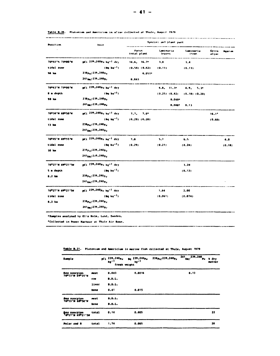| Posit im          | Unit                                     |                              | Species and plant part |                            |                |         |  |
|-------------------|------------------------------------------|------------------------------|------------------------|----------------------------|----------------|---------|--|
|                   |                                          | <b>Fuents</b><br>total plant | laninaria<br>leaves    | <b>Laminaria</b><br>stems. | Green<br>جدواه | Agarum. |  |
| 76043*% 73000°W   | pCi 239,240Pu ku-1 dry                   | 14.6, 16.7                   | 3.0                    | 3.4                        |                |         |  |
| tidal zone        | (Bg kg <sup>-1</sup> )                   | (0.54) (0.62)                | (0.11)                 | (0.13)                     |                |         |  |
| 98 km             | 238pu/239,240pu                          | 0.051*                       |                        |                            |                |         |  |
|                   | 241am/239,240pm                          | 0.041                        |                        |                            |                |         |  |
| 76043'N 73000'N   | mCi 239,240pu ku-1 dry                   |                              | 4.0, 11.3°             | $4.9, 5.3^{\circ}$         |                |         |  |
| <b>U</b> m depth  | $(10a \text{ kg}^{-1})$                  |                              | (0.25) (0.42)          | (0.18) (0.20)              |                |         |  |
| 98 ka             | 238 pu/239, 240 pu                       |                              | $0.040$ <sup>*</sup>   |                            |                |         |  |
|                   | 241am/239,240pu                          |                              | 0.008°                 | 0.13                       |                |         |  |
| 76º34'N 68º50'N   | pCi 239,240pu ku <sup>-7</sup> dry       | 7.7.7.1                      |                        |                            | $16.1*$        |         |  |
| tidel zone        | $(8a \text{ kg}^{-1})$                   | $(0.29)$ $(0.20)$            |                        |                            | (0.60)         |         |  |
| 13 km             | 230 <sub>Pu</sub> /239,240 <sub>Pu</sub> |                              |                        |                            |                |         |  |
|                   | 241 <sub>Am/</sub> 239,240 <sub>Pu</sub> |                              |                        |                            |                |         |  |
| 76045'N 69055'W   | pCi 239,240pu ku <sup>-1</sup> dry       | 7.6                          | 5.7                    | $6.5 -$                    |                | 4.1     |  |
| tidal zone        | $(8q \text{ kg}^{-1})$                   | (0.29)                       | (0.21)                 | (0.24)                     |                | (0.10)  |  |
| $30$ km           | 238pg/239,240pg                          |                              |                        |                            |                |         |  |
|                   | 241 <sub>Am/</sub> 239,240 <sub>Pu</sub> |                              |                        |                            |                |         |  |
| 76027'N 69021'5W  | pCi 239,240pg kg <sup>-1</sup> dry       |                              |                        | 3.24                       |                |         |  |
| 5 m depth         | $(Ba-1)$                                 |                              |                        | (0.12)                     |                |         |  |
| 8.2 <sub>ka</sub> | $238pu$ /239,240p <sub>u</sub>           |                              |                        |                            |                |         |  |
|                   | 241 <sub>Am/</sub> 239,240 <sub>Pu</sub> |                              |                        |                            |                |         |  |
| 76027'N 69021'5M  | pCi 239,240pu kg <sup>-1</sup> dry       |                              | 1.64                   | 2.00                       |                |         |  |
| tidal zone        | $(8a \text{ kg}^{-1})$                   |                              | (0.061)                | (0.074)                    |                |         |  |
| <b>8.2 km</b>     | 238pu/239,240pu                          |                              |                        |                            |                |         |  |
|                   | $241km$ /239, 240 <sub>Pu</sub>          |                              |                        |                            |                |         |  |

Table B.20. Plutonion and Americion in alsae collected at Thule, August 1979.

\*Collected in Power Marhour at Thule Air Base.

.<br>2006 - De Britannia a che a canda a casa a viva e viva a constante del provinci

| <b>Sample</b>                    |       | pCi 239,240 <sub>Pu</sub><br>$kg-1$<br>fresh weight | $_{pq}$ 239,240 $_{p}$<br>$kg-1$ | 238pu/239,240pu | 241 239,240<br>An/<br>Pu. | a dry<br>matter |
|----------------------------------|-------|-----------------------------------------------------|----------------------------------|-----------------|---------------------------|-----------------|
| Sea scorpion<br>76033'N 69035'N  | meat  | 0.043                                               | 0.0016                           |                 | 0.13                      |                 |
|                                  | roe   | 0.0.L.                                              |                                  |                 |                           |                 |
|                                  | liver | B.D.L.                                              |                                  |                 |                           |                 |
|                                  | bone  | 0.41                                                | 0.015                            |                 |                           |                 |
| See scorpion<br>76033'N 60050'W  | meat  | B.D.L.                                              |                                  |                 |                           |                 |
|                                  | bone  | $\blacksquare$ . $\blacksquare$ .                   |                                  |                 |                           |                 |
| Sea scorpion<br>76027'N 69021'SW | total | 0.14                                                | 0.005                            |                 |                           | 22              |
| Polar cod R                      | total | 1,74                                                | 0.065                            |                 |                           | 20              |

Table B.21. Plutonium and Americium in marine fish collected at Thule, August 1979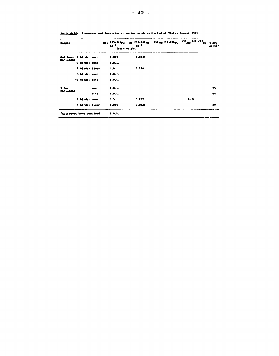| <b>Sample</b>               |      | pCi 239,240pu<br>kg" <sup>1</sup><br>fresh weight | Ba 239,240 <sub>Pu</sub><br>kg <sup>-1</sup> | 230 pu/239,240 pu | 241 239,240<br>Am/<br>h. | a dry<br>matter |
|-----------------------------|------|---------------------------------------------------|----------------------------------------------|-------------------|--------------------------|-----------------|
| Guillemot 2 birds: meat     |      | 0.092                                             | 0.0034                                       |                   |                          |                 |
| Maniussak<br>*2 birds: bone |      | <b>B.D.L.</b>                                     |                                              |                   |                          |                 |
| 5 birds: liver              |      | 1.5                                               | 0.054                                        |                   |                          |                 |
| 3 birds: meat               |      | 9.0.1.                                            |                                              |                   |                          |                 |
| *3 birds: bone              |      | B.D.L.                                            |                                              |                   |                          |                 |
| <b>Eider</b>                | anat | B.D.L.                                            |                                              |                   |                          | 25              |
| Maniussak                   | b ne | B.D.L.                                            |                                              |                   |                          | 65              |
| 2 birds: bone               |      | 1.5                                               | 0.057                                        |                   | 0.24                     |                 |
| 5 birds: liver              |      | 0.065                                             | 0.0024                                       |                   |                          | 29              |
| *Guillemot bone combined    |      | 0.0.1.                                            |                                              |                   |                          |                 |

 $\sim 10^{11}$  km  $^{-1}$ 

Table B.22. Plutonium and Americium in marine birds collected at Thule, August 1979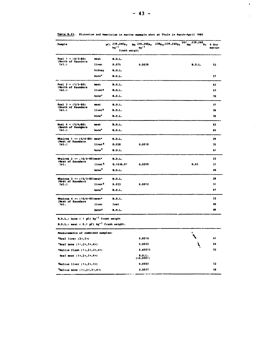| <b>Sample</b>                                                   |                    | pci 239,240 <sub>Pu</sub><br>ka <sup>-1</sup><br>fresh weight | ka <sup>– 1</sup> | 241<br>239.240<br>Ba 239,240pu 238pu/239,240pu<br>An/<br>Pv. | 1 dry<br>matter |
|-----------------------------------------------------------------|--------------------|---------------------------------------------------------------|-------------------|--------------------------------------------------------------|-----------------|
| Seal $1 = (4/3 - 80)$                                           | meat               | B.D.L.                                                        |                   |                                                              |                 |
| (North of Saunders<br>1s1.                                      | liver              | 0.075                                                         | 0.0028            | B.D.L.                                                       | 52              |
|                                                                 | kidney             | <b>B.D.L.</b>                                                 |                   |                                                              |                 |
|                                                                 | bone*              | <b>B.D.L.</b>                                                 |                   |                                                              | 57              |
| Seal $2 = (1/3 - 80)$                                           | meat               | <b>B.D.L.</b>                                                 |                   |                                                              | 42              |
| (North of Saunders<br>$I1$ .)                                   | liver <sup>x</sup> | B.D.L.                                                        |                   |                                                              | 43              |
|                                                                 | bone*              | <b>B.D.L.</b>                                                 |                   |                                                              | 70              |
| Seal $3 = (5/4-80)$<br>(South of Saunders                       | meat               | <b>B.D.L.</b>                                                 |                   |                                                              | 37              |
| 1:1.                                                            | liver <sup>x</sup> | B.D.L.                                                        |                   |                                                              | 39              |
|                                                                 | bone <sup>+</sup>  | <b>B.D.L.</b>                                                 |                   |                                                              | 70              |
| Seal $4 \times (5/4 - 60)$<br>(South of Saunders                | neat.              | <b>B.D.L.</b>                                                 |                   |                                                              | 42              |
| 1.1.                                                            | bone*              | <b>B.D.L.</b>                                                 |                   |                                                              | 65              |
| Whalros ! ** (5/4-80) meat*<br>(West of Saunders                |                    | B.D.L.                                                        |                   |                                                              | 29              |
| 1s1.                                                            | liver <sup>5</sup> | 0.028                                                         | 0.0010            |                                                              | 35              |
|                                                                 | bone <sup>9</sup>  | <b>B.D.L.</b>                                                 |                   |                                                              | 41              |
| Whalros $2 \times x \in \{10/4-00\}$ meat*<br>(West of Saunders |                    | <b>B.D.L.</b>                                                 |                   |                                                              | 33              |
| Ial.                                                            | liver <sup>4</sup> | 0.1610.01                                                     | 0.0059            | 0.65                                                         | 31              |
|                                                                 | bone <sup>9</sup>  | <b>B.D.L.</b>                                                 |                   |                                                              | 49              |
| Whalros 3 ** (15/3-80)meat*<br>(West of Saunders                |                    | B.D.L.                                                        |                   |                                                              | 29              |
| 1s1.                                                            | liver <sup>4</sup> | 0.033                                                         | 0.0012            |                                                              | 31              |
|                                                                 | bone <sup>9</sup>  | B.D.L.                                                        |                   |                                                              | 67              |
| Whalros 4 == (10/4-80)meat*                                     |                    | <b>B.D.L.</b>                                                 |                   |                                                              | 32              |
| (West of Saunders<br>Isl.                                       | liver              | lost                                                          |                   |                                                              | 40              |
|                                                                 | bone?              | B.D.L.                                                        |                   |                                                              | 49              |

Table B.23. Plutonium and Americium in marine mammals shot at Thule in March-April 1980

**B.D.L.:** bone  $\leftarrow$  1 pCi  $kg^{-1}$  fresh weight

B.D.L.: meat <  $0.1$  pCi kg<sup>-1</sup> fresh weight.

| B.D.L.: meat < 0.1 pCi kg <sup>-1</sup> fresh weight. |                    |  |     |  |  |
|-------------------------------------------------------|--------------------|--|-----|--|--|
| Measurements of combined samples:                     |                    |  |     |  |  |
| $x$ Seal liver (2x,3x)                                | 0.0014             |  | 41  |  |  |
| *Seal bone $(1, 2, 1, 3, 4, 4)$                       | 0.0022             |  | -64 |  |  |
| *Walrus flesh (1x,2x,3x,4x)                           | 0.00013            |  | 30  |  |  |
| Seal meat $(1+, 2+, 3+, 4+)$                          | B.D.L.<br>(0.0001) |  |     |  |  |
| $4$ Walrus liver (1=,2=,3=)                           | 0.0043             |  | 32  |  |  |
| $9$ Walrus bone (1+,2+,3+,4+)                         | 0.0037             |  | 59  |  |  |

 $\sim 10$ 

 $\bar{r}$ 

 $\frac{1}{2}$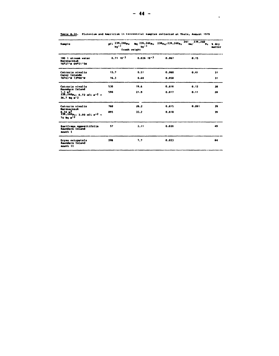| Sample                                                                                       | осі 239,240 р.<br>ka <sup>n ?</sup><br>fresh weight | $ka^{-1}$         | Ba 239,240 pu 230 pu/239,240 pu | 241 239, 240<br>$\lambda$ k $\lambda$<br>Pu. | <b>A</b> dry<br>matter |
|----------------------------------------------------------------------------------------------|-----------------------------------------------------|-------------------|---------------------------------|----------------------------------------------|------------------------|
| 100 1 stream water<br><b>Narssarssuk</b><br>76027°N 69021'5M                                 | $0.71.10-3$                                         | $0.026$ $10^{-3}$ | 0.067                           | 0.15                                         |                        |
| Cetraria nivalis<br>Carey Islands                                                            | 13.7                                                | 0.51              | 0.060                           | 0.41                                         | 31                     |
| 76043'N 73000'W                                                                              | 16.3                                                | 0.60              | 0.058                           |                                              | 31                     |
| Cetraria nivalis<br>Saunders Island                                                          | 530                                                 | 19.6              | 0.016                           | 0.12                                         | 28                     |
| 1.3 <sup>2</sup><br>$239.240p_{11}$ : 0.72 nCi m <sup>-2</sup> =<br>$26.7$ Bq $n-2$          | 590                                                 | 21.9              | 0.017                           | 0.11                                         | 28                     |
| Cetraria nivalis<br><b>Harssarssuk</b>                                                       | 760                                                 | 28.2              | 0.015                           | 0.091                                        | 39                     |
| 0.34 m <sup>2</sup><br>239,240 m <sub>3</sub> : 2.00 nCi m <sup>-2</sup> =<br>74 Bg $n^{-2}$ | 895                                                 | 33.2              | 0.010                           |                                              | 39                     |
| Samifraga oppositifolia<br>Saunders Island<br>south I                                        | 57                                                  | 2.11              | 0.020                           |                                              | 49                     |
| Dryas octopetala<br>Saunders laland<br>south II                                              | 200                                                 | 7.7               | 0.023                           |                                              | 64                     |

#### Table B.24. Plutonium and Americium in terrestrial samples collected at Thule, August 1979

**Contract Contract**